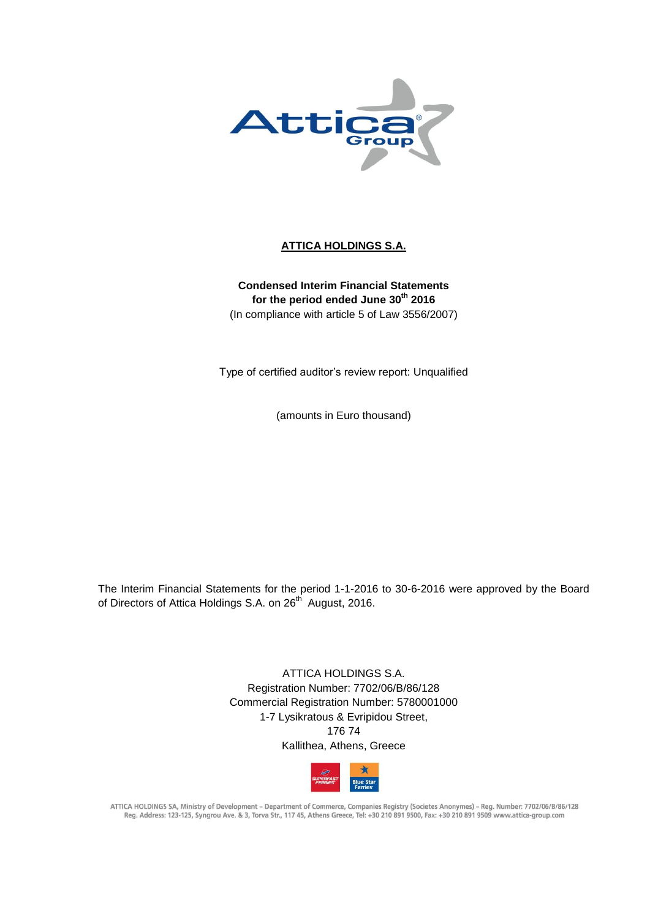

# **ATTICA HOLDINGS S.A.**

**Condensed Interim Financial Statements for the period ended June 30th 2016** (In compliance with article 5 of Law 3556/2007)

Type of certified auditor's review report: Unqualified

(amounts in Euro thousand)

The Interim Financial Statements for the period 1-1-2016 to 30-6-2016 were approved by the Board of Directors of Attica Holdings S.A. on 26<sup>th</sup> August, 2016.

> ATTICA HOLDINGS S.A. Registration Number: 7702/06/B/86/128 Commercial Registration Number: 5780001000 1-7 Lysikratous & Evripidou Street, 176 74 Kallithea, Athens, Greece



ATTICA HOLDINGS SA, Ministry of Development - Department of Commerce, Companies Registry (Societes Anonymes) - Reg. Number: 7702/06/B/86/128 Reg. Address: 123-125, Syngrou Ave. & 3, Torva Str., 117 45, Athens Greece, Tel: +30 210 891 9500, Fax: +30 210 891 9509 www.attica-group.com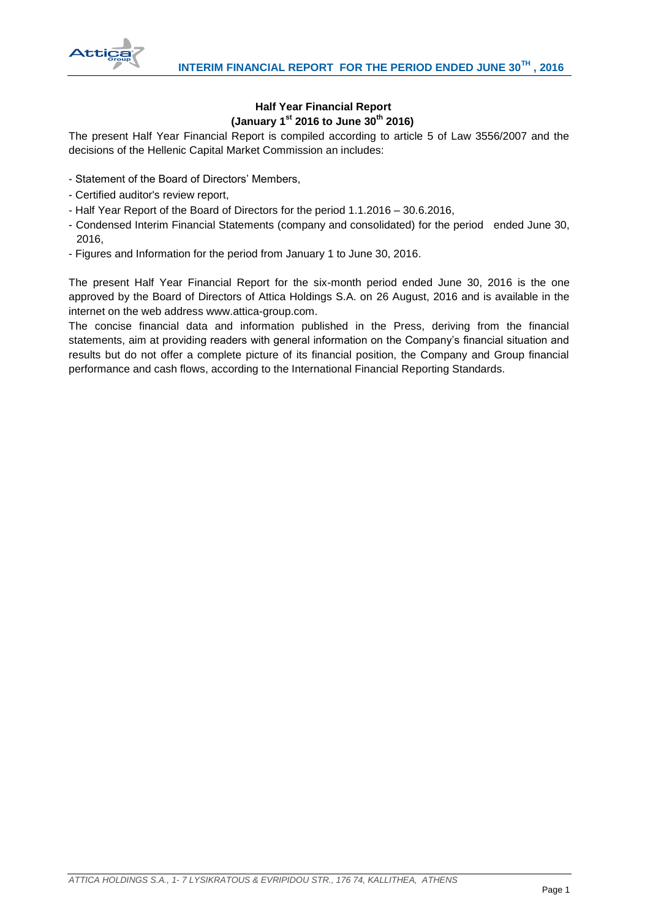

# **Half Year Financial Report (January 1st 2016 to June 30th 2016)**

The present Half Year Financial Report is compiled according to article 5 of Law 3556/2007 and the decisions of the Hellenic Capital Market Commission an includes:

- Statement of the Board of Directors' Members,
- Certified auditor's review report,
- Half Year Report of the Board of Directors for the period 1.1.2016 30.6.2016,
- Condensed Interim Financial Statements (company and consolidated) for the period ended June 30, 2016,
- Figures and Information for the period from January 1 to June 30, 2016.

The present Half Year Financial Report for the six-month period ended June 30, 2016 is the one approved by the Board of Directors of Attica Holdings S.A. on 26 August, 2016 and is available in the internet on the web address www.attica-group.com.

The concise financial data and information published in the Press, deriving from the financial statements, aim at providing readers with general information on the Company's financial situation and results but do not offer a complete picture of its financial position, the Company and Group financial performance and cash flows, according to the International Financial Reporting Standards.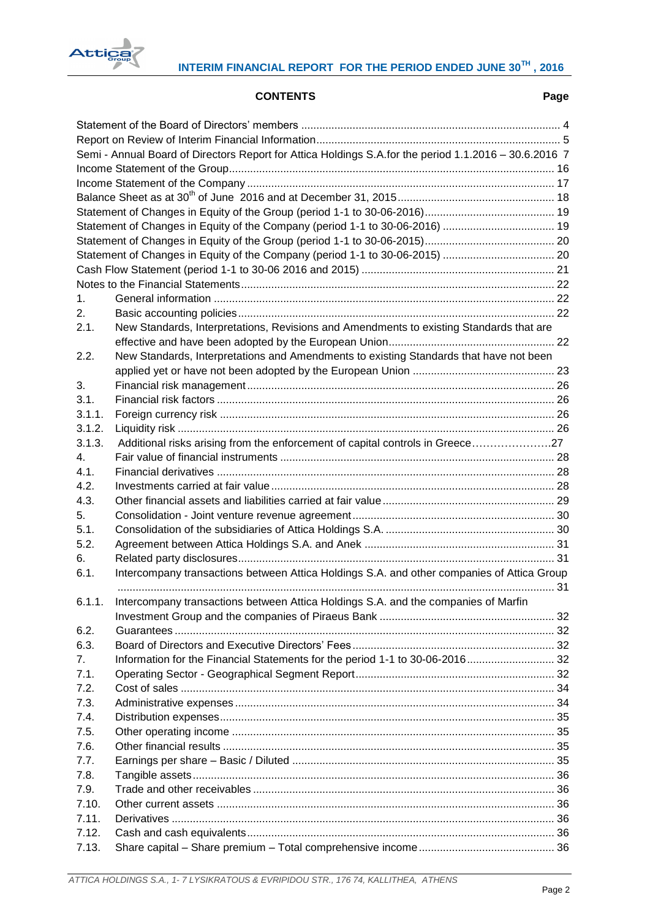

# **CONTENTS Page**

|        | Semi - Annual Board of Directors Report for Attica Holdings S.A.for the period 1.1.2016 - 30.6.2016 7 |  |
|--------|-------------------------------------------------------------------------------------------------------|--|
|        |                                                                                                       |  |
|        |                                                                                                       |  |
|        |                                                                                                       |  |
|        |                                                                                                       |  |
|        | Statement of Changes in Equity of the Company (period 1-1 to 30-06-2016)  19                          |  |
|        |                                                                                                       |  |
|        |                                                                                                       |  |
|        |                                                                                                       |  |
|        |                                                                                                       |  |
| 1.     |                                                                                                       |  |
| 2.     |                                                                                                       |  |
| 2.1.   | New Standards, Interpretations, Revisions and Amendments to existing Standards that are               |  |
|        |                                                                                                       |  |
| 2.2.   | New Standards, Interpretations and Amendments to existing Standards that have not been                |  |
|        |                                                                                                       |  |
| 3.     |                                                                                                       |  |
| 3.1.   |                                                                                                       |  |
| 3.1.1. |                                                                                                       |  |
| 3.1.2. |                                                                                                       |  |
| 3.1.3. | Additional risks arising from the enforcement of capital controls in Greece27                         |  |
| 4.     |                                                                                                       |  |
| 4.1.   |                                                                                                       |  |
| 4.2.   |                                                                                                       |  |
| 4.3.   |                                                                                                       |  |
| 5.     |                                                                                                       |  |
| 5.1.   |                                                                                                       |  |
| 5.2.   |                                                                                                       |  |
| 6.     |                                                                                                       |  |
| 6.1.   | Intercompany transactions between Attica Holdings S.A. and other companies of Attica Group            |  |
|        |                                                                                                       |  |
| 6.1.1. | Intercompany transactions between Attica Holdings S.A. and the companies of Marfin                    |  |
|        |                                                                                                       |  |
| 6.2.   |                                                                                                       |  |
| 6.3.   |                                                                                                       |  |
| 7.     | Information for the Financial Statements for the period 1-1 to 30-06-2016 32                          |  |
| 7.1.   |                                                                                                       |  |
| 7.2.   |                                                                                                       |  |
| 7.3.   |                                                                                                       |  |
| 7.4.   |                                                                                                       |  |
| 7.5.   |                                                                                                       |  |
| 7.6.   |                                                                                                       |  |
| 7.7.   |                                                                                                       |  |
| 7.8.   |                                                                                                       |  |
| 7.9.   |                                                                                                       |  |
| 7.10.  |                                                                                                       |  |
| 7.11.  |                                                                                                       |  |
| 7.12.  |                                                                                                       |  |
| 7.13.  |                                                                                                       |  |
|        |                                                                                                       |  |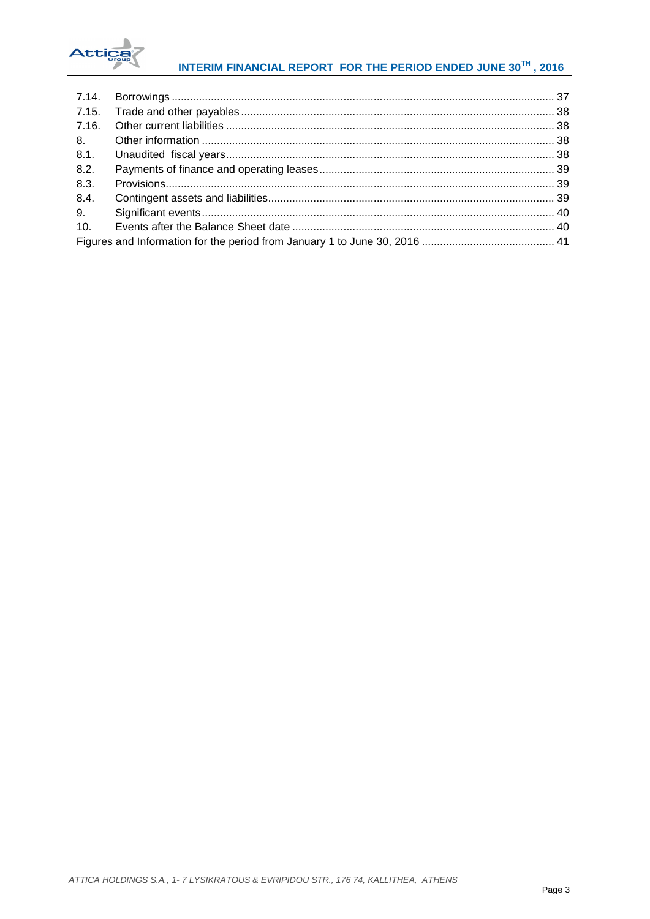

# INTERIM FINANCIAL REPORT FOR THE PERIOD ENDED JUNE 30TH, 2016

| 8.1. |  |
|------|--|
| 8.2. |  |
| 8.3. |  |
| 8.4. |  |
| 9.   |  |
| 10.  |  |
|      |  |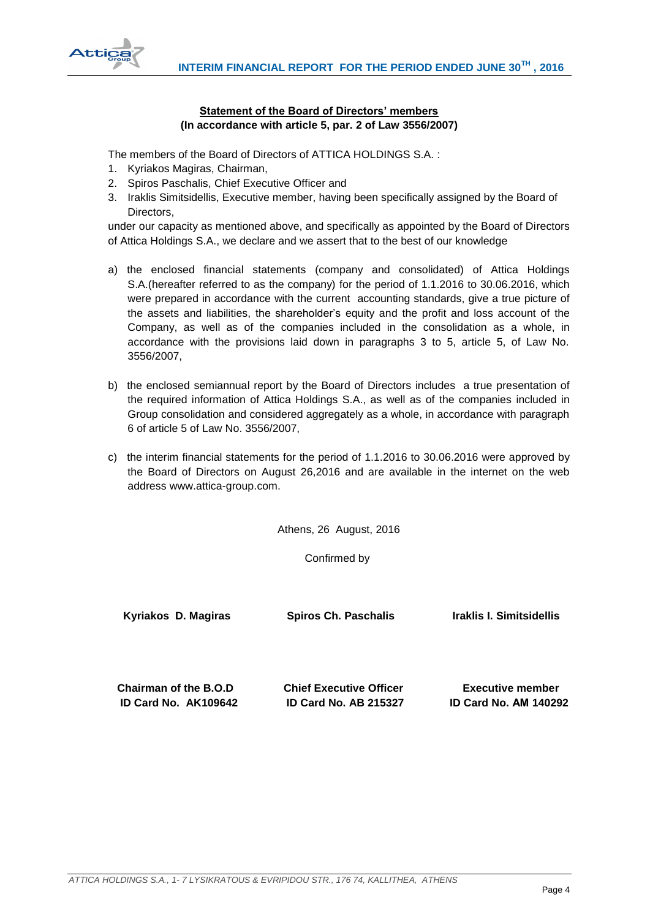

# **Statement of the Board of Directors' members (In accordance with article 5, par. 2 of Law 3556/2007)**

<span id="page-4-0"></span>The members of the Board of Directors of ATTICA HOLDINGS S.A.  $\cdot$ 

- 1. Kyriakos Magiras, Chairman,
- 2. Spiros Paschalis, Chief Executive Officer and
- 3. Iraklis Simitsidellis, Executive member, having been specifically assigned by the Board of Directors,

under our capacity as mentioned above, and specifically as appointed by the Board of Directors of Attica Holdings S.A., we declare and we assert that to the best of our knowledge

- a) the enclosed financial statements (company and consolidated) of Attica Holdings S.A.(hereafter referred to as the company) for the period of 1.1.2016 to 30.06.2016, which were prepared in accordance with the current accounting standards, give a true picture of the assets and liabilities, the shareholder's equity and the profit and loss account of the Company, as well as of the companies included in the consolidation as a whole, in accordance with the provisions laid down in paragraphs 3 to 5, article 5, of Law No. 3556/2007,
- b) the enclosed semiannual report by the Board of Directors includes a true presentation of the required information of Attica Holdings S.A., as well as of the companies included in Group consolidation and considered aggregately as a whole, in accordance with paragraph 6 of article 5 of Law No. 3556/2007,
- c) the interim financial statements for the period of 1.1.2016 to 30.06.2016 were approved by the Board of Directors on August 26,2016 and are available in the internet on the web address www.attica-group.com.

Athens, 26 August, 2016

Confirmed by

 **Kyriakos D. Magiras Spiros Ch. Paschalis Iraklis I. Simitsidellis**

 **Chairman of the B.O.D Chief Executive Officer Executive member ID Card No. AK109642 ID Card No. AB 215327 ID Card No. ΑΜ 140292**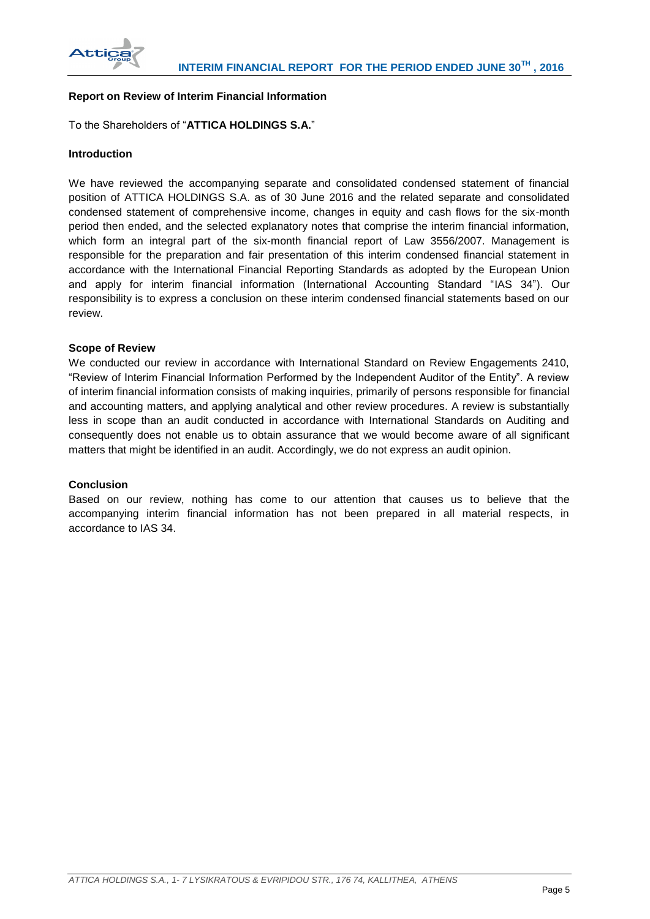

# <span id="page-5-0"></span>**Report on Review of Interim Financial Information**

# To the Shareholders of "**ATTICA HOLDINGS S.A.**"

## **Introduction**

We have reviewed the accompanying separate and consolidated condensed statement of financial position of ATTICA HOLDINGS S.A. as of 30 June 2016 and the related separate and consolidated condensed statement of comprehensive income, changes in equity and cash flows for the six-month period then ended, and the selected explanatory notes that comprise the interim financial information, which form an integral part of the six-month financial report of Law 3556/2007. Management is responsible for the preparation and fair presentation of this interim condensed financial statement in accordance with the International Financial Reporting Standards as adopted by the European Union and apply for interim financial information (International Accounting Standard "IAS 34"). Our responsibility is to express a conclusion on these interim condensed financial statements based on our review.

#### **Scope of Review**

We conducted our review in accordance with International Standard on Review Engagements 2410, "Review of Interim Financial Information Performed by the Independent Auditor of the Entity". A review of interim financial information consists of making inquiries, primarily of persons responsible for financial and accounting matters, and applying analytical and other review procedures. A review is substantially less in scope than an audit conducted in accordance with International Standards on Auditing and consequently does not enable us to obtain assurance that we would become aware of all significant matters that might be identified in an audit. Accordingly, we do not express an audit opinion.

## **Conclusion**

Based on our review, nothing has come to our attention that causes us to believe that the accompanying interim financial information has not been prepared in all material respects, in accordance to IAS 34.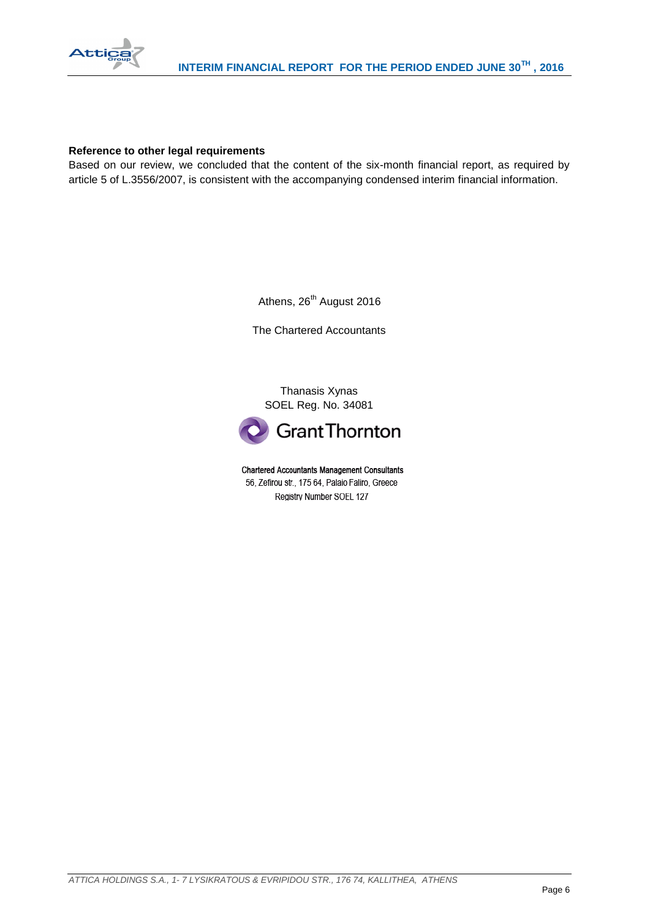

## **Reference to other legal requirements**

Based on our review, we concluded that the content of the six-month financial report, as required by article 5 of L.3556/2007, is consistent with the accompanying condensed interim financial information.

Athens, 26<sup>th</sup> August 2016

The Chartered Accountants

Thanasis Xynas SOEL Reg. No. 34081



**Chartered Accountants Management Consultants** 56, Zefirou str., 175 64, Palaio Faliro, Greece Registry Number SOEL 127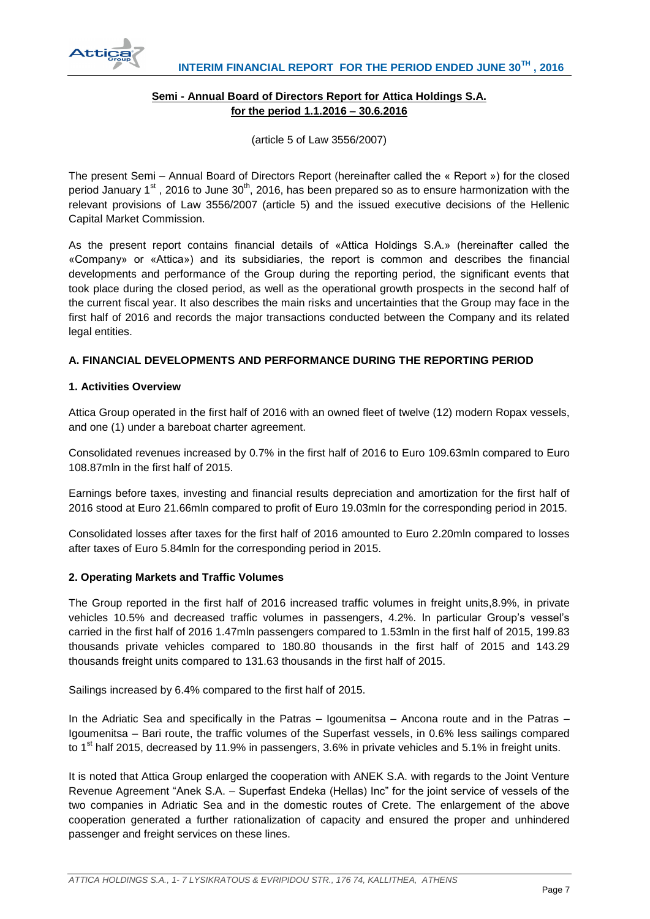

# **Semi - Annual Board of Directors Report for Attica Holdings S.A. for the period 1.1.2016 – 30.6.2016**

(article 5 of Law 3556/2007)

<span id="page-7-0"></span>The present Semi – Annual Board of Directors Report (hereinafter called the « Report ») for the closed period January  $1<sup>st</sup>$ , 2016 to June 30<sup>th</sup>, 2016, has been prepared so as to ensure harmonization with the relevant provisions of Law 3556/2007 (article 5) and the issued executive decisions of the Hellenic Capital Market Commission.

As the present report contains financial details of «Attica Holdings S.A.» (hereinafter called the «Company» or «Attica») and its subsidiaries, the report is common and describes the financial developments and performance of the Group during the reporting period, the significant events that took place during the closed period, as well as the operational growth prospects in the second half of the current fiscal year. It also describes the main risks and uncertainties that the Group may face in the first half of 2016 and records the major transactions conducted between the Company and its related legal entities.

# **A. FINANCIAL DEVELOPMENTS AND PERFORMANCE DURING THE REPORTING PERIOD**

# **1. Activities Overview**

Attica Group operated in the first half of 2016 with an owned fleet of twelve (12) modern Ropax vessels, and one (1) under a bareboat charter agreement.

Consolidated revenues increased by 0.7% in the first half of 2016 to Euro 109.63mln compared to Euro 108.87mln in the first half of 2015.

Earnings before taxes, investing and financial results depreciation and amortization for the first half of 2016 stood at Euro 21.66mln compared to profit of Euro 19.03mln for the corresponding period in 2015.

Consolidated losses after taxes for the first half of 2016 amounted to Euro 2.20mln compared to losses after taxes of Euro 5.84mln for the corresponding period in 2015.

# **2. Operating Markets and Traffic Volumes**

The Group reported in the first half of 2016 increased traffic volumes in freight units,8.9%, in private vehicles 10.5% and decreased traffic volumes in passengers, 4.2%. In particular Group's vessel's carried in the first half of 2016 1.47mln passengers compared to 1.53mln in the first half of 2015, 199.83 thousands private vehicles compared to 180.80 thousands in the first half of 2015 and 143.29 thousands freight units compared to 131.63 thousands in the first half of 2015.

Sailings increased by 6.4% compared to the first half of 2015.

In the Adriatic Sea and specifically in the Patras – Igoumenitsa – Ancona route and in the Patras – Igoumenitsa – Bari route, the traffic volumes of the Superfast vessels, in 0.6% less sailings compared to 1<sup>st</sup> half 2015, decreased by 11.9% in passengers, 3.6% in private vehicles and 5.1% in freight units.

It is noted that Attica Group enlarged the cooperation with ANEK S.A. with regards to the Joint Venture Revenue Agreement "Anek S.A. – Superfast Endeka (Hellas) Inc" for the joint service of vessels of the two companies in Adriatic Sea and in the domestic routes of Crete. The enlargement of the above cooperation generated a further rationalization of capacity and ensured the proper and unhindered passenger and freight services on these lines.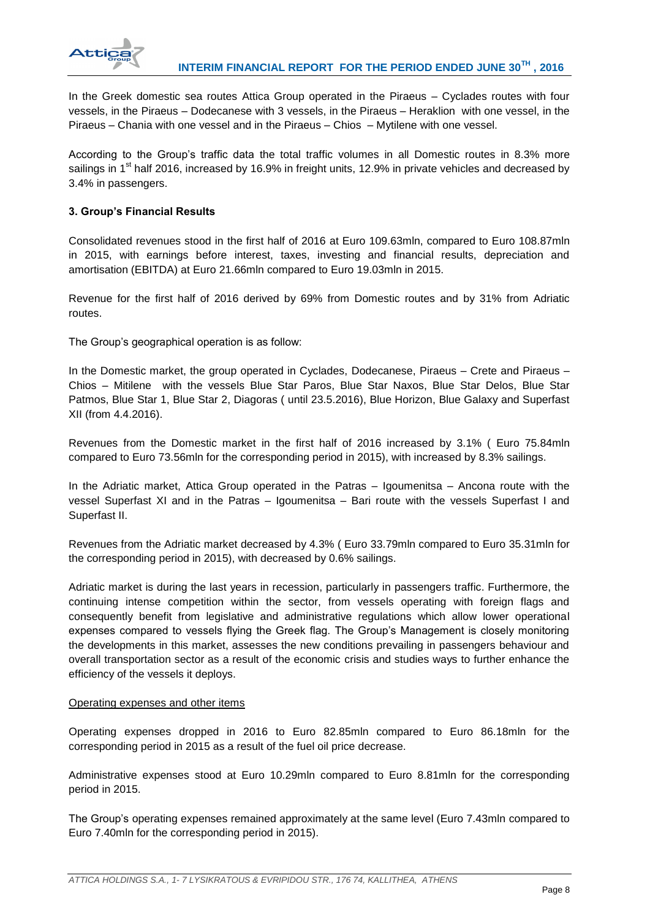

In the Greek domestic sea routes Attica Group operated in the Piraeus – Cyclades routes with four vessels, in the Piraeus – Dodecanese with 3 vessels, in the Piraeus – Heraklion with one vessel, in the Piraeus – Chania with one vessel and in the Piraeus – Chios – Mytilene with one vessel.

According to the Group's traffic data the total traffic volumes in all Domestic routes in 8.3% more sailings in 1<sup>st</sup> half 2016, increased by 16.9% in freight units, 12.9% in private vehicles and decreased by 3.4% in passengers.

# **3. Group's Financial Results**

Consolidated revenues stood in the first half of 2016 at Euro 109.63mln, compared to Euro 108.87mln in 2015, with earnings before interest, taxes, investing and financial results, depreciation and amortisation (EBITDA) at Euro 21.66mln compared to Euro 19.03mln in 2015.

Revenue for the first half of 2016 derived by 69% from Domestic routes and by 31% from Adriatic routes.

The Group's geographical operation is as follow:

In the Domestic market, the group operated in Cyclades, Dodecanese, Piraeus – Crete and Piraeus – Chios – Mitilene with the vessels Blue Star Paros, Blue Star Naxos, Blue Star Delos, Blue Star Patmos, Blue Star 1, Blue Star 2, Diagoras ( until 23.5.2016), Blue Horizon, Blue Galaxy and Superfast XII (from 4.4.2016).

Revenues from the Domestic market in the first half of 2016 increased by 3.1% ( Euro 75.84mln compared to Euro 73.56mln for the corresponding period in 2015), with increased by 8.3% sailings.

In the Adriatic market, Attica Group operated in the Patras – Igoumenitsa – Ancona route with the vessel Superfast XI and in the Patras – Igoumenitsa – Bari route with the vessels Superfast I and Superfast II.

Revenues from the Adriatic market decreased by 4.3% ( Euro 33.79mln compared to Euro 35.31mln for the corresponding period in 2015), with decreased by 0.6% sailings.

Adriatic market is during the last years in recession, particularly in passengers traffic. Furthermore, the continuing intense competition within the sector, from vessels operating with foreign flags and consequently benefit from legislative and administrative regulations which allow lower operational expenses compared to vessels flying the Greek flag. The Group's Management is closely monitoring the developments in this market, assesses the new conditions prevailing in passengers behaviour and overall transportation sector as a result of the economic crisis and studies ways to further enhance the efficiency of the vessels it deploys.

#### Operating expenses and other items

Operating expenses dropped in 2016 to Euro 82.85mln compared to Euro 86.18mln for the corresponding period in 2015 as a result of the fuel oil price decrease.

Administrative expenses stood at Euro 10.29mln compared to Euro 8.81mln for the corresponding period in 2015.

The Group's operating expenses remained approximately at the same level (Euro 7.43mln compared to Euro 7.40mln for the corresponding period in 2015).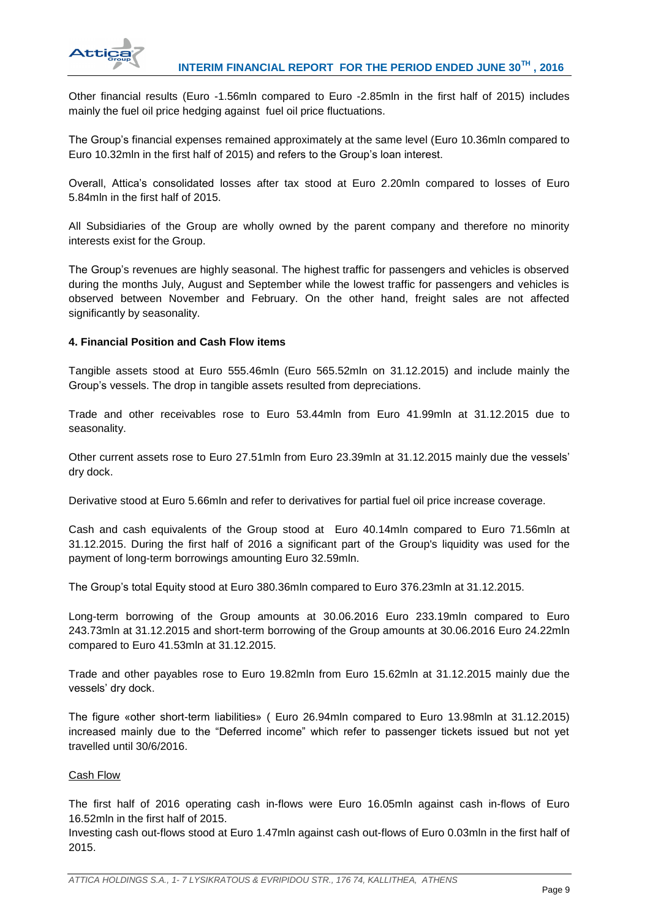

Other financial results (Euro -1.56mln compared to Euro -2.85mln in the first half of 2015) includes mainly the fuel oil price hedging against fuel oil price fluctuations.

The Group's financial expenses remained approximately at the same level (Euro 10.36mln compared to Euro 10.32mln in the first half of 2015) and refers to the Group's loan interest.

Overall, Attica's consolidated losses after tax stood at Euro 2.20mln compared to losses of Euro 5.84mln in the first half of 2015.

All Subsidiaries of the Group are wholly owned by the parent company and therefore no minority interests exist for the Group.

The Group's revenues are highly seasonal. The highest traffic for passengers and vehicles is observed during the months July, August and September while the lowest traffic for passengers and vehicles is observed between November and February. On the other hand, freight sales are not affected significantly by seasonality.

# **4. Financial Position and Cash Flow items**

Tangible assets stood at Euro 555.46mln (Euro 565.52mln on 31.12.2015) and include mainly the Group's vessels. The drop in tangible assets resulted from depreciations.

Trade and other receivables rose to Euro 53.44mln from Euro 41.99mln at 31.12.2015 due to seasonality.

Other current assets rose to Euro 27.51mln from Euro 23.39mln at 31.12.2015 mainly due the vessels' dry dock.

Derivative stood at Euro 5.66mln and refer to derivatives for partial fuel oil price increase coverage.

Cash and cash equivalents of the Group stood at Euro 40.14mln compared to Euro 71.56mln at 31.12.2015. During the first half of 2016 a significant part of the Group's liquidity was used for the payment of long-term borrowings amounting Euro 32.59mln.

The Group's total Equity stood at Euro 380.36mln compared to Euro 376.23mln at 31.12.2015.

Long-term borrowing of the Group amounts at 30.06.2016 Euro 233.19mln compared to Euro 243.73mln at 31.12.2015 and short-term borrowing of the Group amounts at 30.06.2016 Euro 24.22mln compared to Euro 41.53mln at 31.12.2015.

Trade and other payables rose to Euro 19.82mln from Euro 15.62mln at 31.12.2015 mainly due the vessels' dry dock.

The figure «other short-term liabilities» ( Euro 26.94mln compared to Euro 13.98mln at 31.12.2015) increased mainly due to the "Deferred income" which refer to passenger tickets issued but not yet travelled until 30/6/2016.

#### Cash Flow

The first half of 2016 operating cash in-flows were Euro 16.05mln against cash in-flows of Euro 16.52mln in the first half of 2015.

Investing cash out-flows stood at Euro 1.47mln against cash out-flows of Euro 0.03mln in the first half of 2015.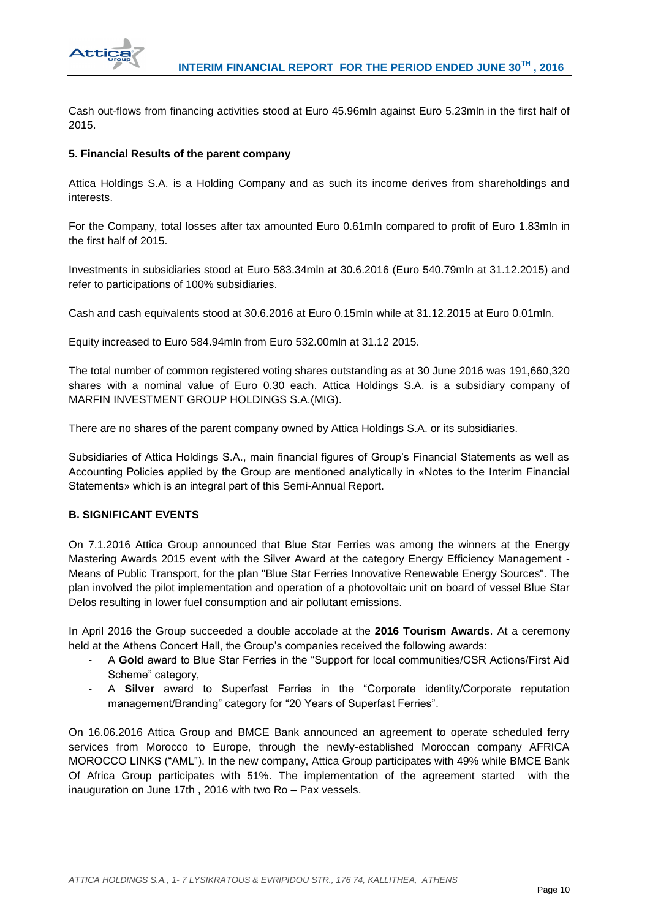

Cash out-flows from financing activities stood at Euro 45.96mln against Euro 5.23mln in the first half of 2015.

# **5. Financial Results of the parent company**

Attica Holdings S.A. is a Holding Company and as such its income derives from shareholdings and interests.

For the Company, total losses after tax amounted Euro 0.61mln compared to profit of Euro 1.83mln in the first half of 2015.

Investments in subsidiaries stood at Euro 583.34mln at 30.6.2016 (Euro 540.79mln at 31.12.2015) and refer to participations of 100% subsidiaries.

Cash and cash equivalents stood at 30.6.2016 at Euro 0.15mln while at 31.12.2015 at Euro 0.01mln.

Equity increased to Euro 584.94mln from Euro 532.00mln at 31.12 2015.

The total number of common registered voting shares outstanding as at 30 June 2016 was 191,660,320 shares with a nominal value of Euro 0.30 each. Attica Holdings S.A. is a subsidiary company of MARFIN INVESTMENT GROUP HOLDINGS S.A.(MIG).

There are no shares of the parent company owned by Attica Holdings S.A. or its subsidiaries.

Subsidiaries of Attica Holdings S.A., main financial figures of Group's Financial Statements as well as Accounting Policies applied by the Group are mentioned analytically in «Notes to the Interim Financial Statements» which is an integral part of this Semi-Annual Report.

#### **B. SIGNIFICANT EVENTS**

On 7.1.2016 Attica Group announced that Blue Star Ferries was among the winners at the Energy Mastering Awards 2015 event with the Silver Award at the category Energy Efficiency Management - Means of Public Transport, for the plan "Blue Star Ferries Innovative Renewable Energy Sources". The plan involved the pilot implementation and operation of a photovoltaic unit on board of vessel Blue Star Delos resulting in lower fuel consumption and air pollutant emissions.

In April 2016 the Group succeeded a double accolade at the **2016 Tourism Awards**. At a ceremony held at the Athens Concert Hall, the Group's companies received the following awards:

- A **Gold** award to Blue Star Ferries in the "Support for local communities/CSR Actions/First Aid Scheme" category,
- A **Silver** award to Superfast Ferries in the "Corporate identity/Corporate reputation management/Branding" category for "20 Years of Superfast Ferries".

On 16.06.2016 Attica Group and BMCE Bank announced an agreement to operate scheduled ferry services from Morocco to Europe, through the newly-established Moroccan company AFRICA MOROCCO LINKS ("AML"). In the new company, Attica Group participates with 49% while BMCE Bank Of Africa Group participates with 51%. The implementation of the agreement started with the inauguration on June 17th , 2016 with two Ro – Pax vessels.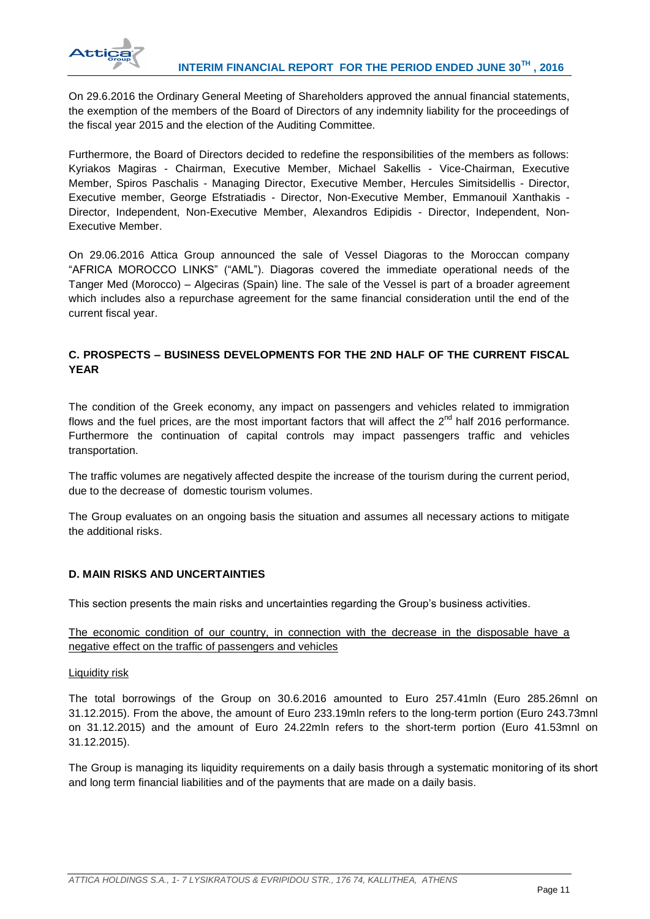

On 29.6.2016 the Ordinary General Meeting of Shareholders approved the annual financial statements, the exemption of the members of the Board of Directors of any indemnity liability for the proceedings of the fiscal year 2015 and the election of the Auditing Committee.

Furthermore, the Board of Directors decided to redefine the responsibilities of the members as follows: Kyriakos Magiras - Chairman, Executive Member, Michael Sakellis - Vice-Chairman, Executive Member, Spiros Paschalis - Managing Director, Executive Member, Hercules Simitsidellis - Director, Executive member, George Efstratiadis - Director, Non-Executive Member, Emmanouil Xanthakis - Director, Independent, Non-Executive Member, Alexandros Edipidis - Director, Independent, Non-Executive Member.

On 29.06.2016 Attica Group announced the sale of Vessel Diagoras to the Moroccan company "AFRICA MOROCCO LINKS" ("AML"). Diagoras covered the immediate operational needs of the Tanger Med (Morocco) – Algeciras (Spain) line. The sale of the Vessel is part of a broader agreement which includes also a repurchase agreement for the same financial consideration until the end of the current fiscal year.

# **C. PROSPECTS – BUSINESS DEVELOPMENTS FOR THE 2ND HALF OF THE CURRENT FISCAL YEAR**

The condition of the Greek economy, any impact on passengers and vehicles related to immigration flows and the fuel prices, are the most important factors that will affect the  $2^{nd}$  half 2016 performance. Furthermore the continuation of capital controls may impact passengers traffic and vehicles transportation.

The traffic volumes are negatively affected despite the increase of the tourism during the current period, due to the decrease of domestic tourism volumes.

The Group evaluates on an ongoing basis the situation and assumes all necessary actions to mitigate the additional risks.

# **D. MAIN RISKS AND UNCERTAINTIES**

This section presents the main risks and uncertainties regarding the Group's business activities.

The economic condition of our country, in connection with the decrease in the disposable have a negative effect on the traffic of passengers and vehicles

Liquidity risk

The total borrowings of the Group on 30.6.2016 amounted to Euro 257.41mln (Euro 285.26mnl on 31.12.2015). From the above, the amount of Euro 233.19mln refers to the long-term portion (Euro 243.73mnl on 31.12.2015) and the amount of Euro 24.22mln refers to the short-term portion (Euro 41.53mnl on 31.12.2015).

The Group is managing its liquidity requirements on a daily basis through a systematic monitoring οf its short and long term financial liabilities and of the payments that are made on a daily basis.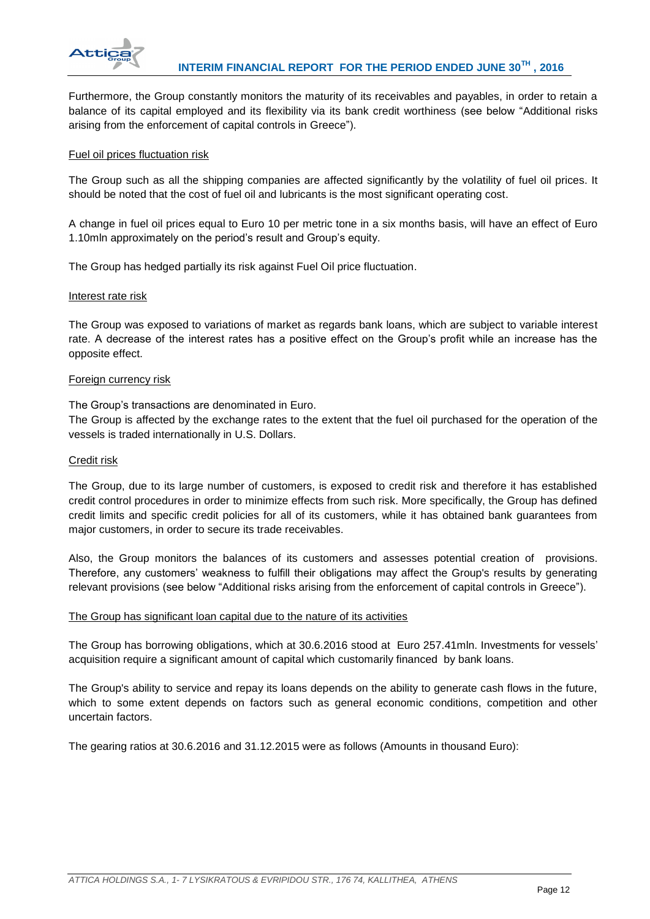

Furthermore, the Group constantly monitors the maturity of its receivables and payables, in order to retain a balance of its capital employed and its flexibility via its bank credit worthiness (see below "Additional risks arising from the enforcement of capital controls in Greece").

### Fuel oil prices fluctuation risk

The Group such as all the shipping companies are affected significantly by the volatility of fuel oil prices. It should be noted that the cost of fuel oil and lubricants is the most significant operating cost.

A change in fuel oil prices equal to Euro 10 per metric tone in a six months basis, will have an effect of Euro 1.10mln approximately on the period's result and Group's equity.

The Group has hedged partially its risk against Fuel Oil price fluctuation.

#### Interest rate risk

The Group was exposed to variations of market as regards bank loans, which are subject to variable interest rate. A decrease of the interest rates has a positive effect on the Group's profit while an increase has the opposite effect.

#### Foreign currency risk

The Group's transactions are denominated in Euro.

The Group is affected by the exchange rates to the extent that the fuel oil purchased for the operation of the vessels is traded internationally in U.S. Dollars.

### Credit risk

The Group, due to its large number of customers, is exposed to credit risk and therefore it has established credit control procedures in order to minimize effects from such risk. More specifically, the Group has defined credit limits and specific credit policies for all of its customers, while it has obtained bank guarantees from major customers, in order to secure its trade receivables.

Also, the Group monitors the balances of its customers and assesses potential creation of provisions. Therefore, any customers' weakness to fulfill their obligations may affect the Group's results by generating relevant provisions (see below "Additional risks arising from the enforcement of capital controls in Greece").

#### The Group has significant loan capital due to the nature of its activities

The Group has borrowing obligations, which at 30.6.2016 stood at Euro 257.41mln. Investments for vessels' acquisition require a significant amount of capital which customarily financed by bank loans.

The Group's ability to service and repay its loans depends on the ability to generate cash flows in the future, which to some extent depends on factors such as general economic conditions, competition and other uncertain factors.

The gearing ratios at 30.6.2016 and 31.12.2015 were as follows (Amounts in thousand Euro):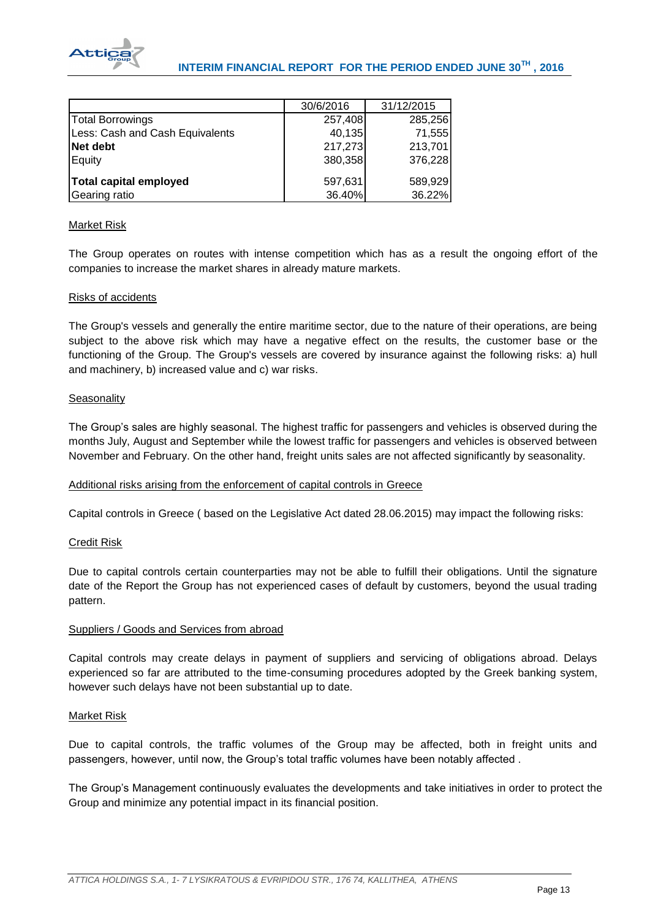

|                                 | 30/6/2016 | 31/12/2015 |
|---------------------------------|-----------|------------|
| <b>Total Borrowings</b>         | 257,408   | 285,256    |
| Less: Cash and Cash Equivalents | 40,135    | 71,555     |
| Net debt                        | 217,273   | 213,701    |
| Equity                          | 380,358   | 376,228    |
|                                 |           |            |
| Total capital employed          | 597,631   | 589,929    |
| Gearing ratio                   | 36.40%    | 36.22%     |

## Market Risk

The Group operates on routes with intense competition which has as a result the ongoing effort of the companies to increase the market shares in already mature markets.

#### Risks of accidents

The Group's vessels and generally the entire maritime sector, due to the nature of their operations, are being subject to the above risk which may have a negative effect on the results, the customer base or the functioning of the Group. The Group's vessels are covered by insurance against the following risks: a) hull and machinery, b) increased value and c) war risks.

## **Seasonality**

The Group's sales are highly seasonal. The highest traffic for passengers and vehicles is observed during the months July, August and September while the lowest traffic for passengers and vehicles is observed between November and February. On the other hand, freight units sales are not affected significantly by seasonality.

#### Additional risks arising from the enforcement of capital controls in Greece

Capital controls in Greece ( based on the Legislative Act dated 28.06.2015) may impact the following risks:

#### Credit Risk

Due to capital controls certain counterparties may not be able to fulfill their obligations. Until the signature date of the Report the Group has not experienced cases of default by customers, beyond the usual trading pattern.

#### Suppliers / Goods and Services from abroad

Capital controls may create delays in payment of suppliers and servicing of obligations abroad. Delays experienced so far are attributed to the time-consuming procedures adopted by the Greek banking system, however such delays have not been substantial up to date.

# Market Risk

Due to capital controls, the traffic volumes of the Group may be affected, both in freight units and passengers, however, until now, the Group's total traffic volumes have been notably affected .

The Group's Management continuously evaluates the developments and take initiatives in order to protect the Group and minimize any potential impact in its financial position.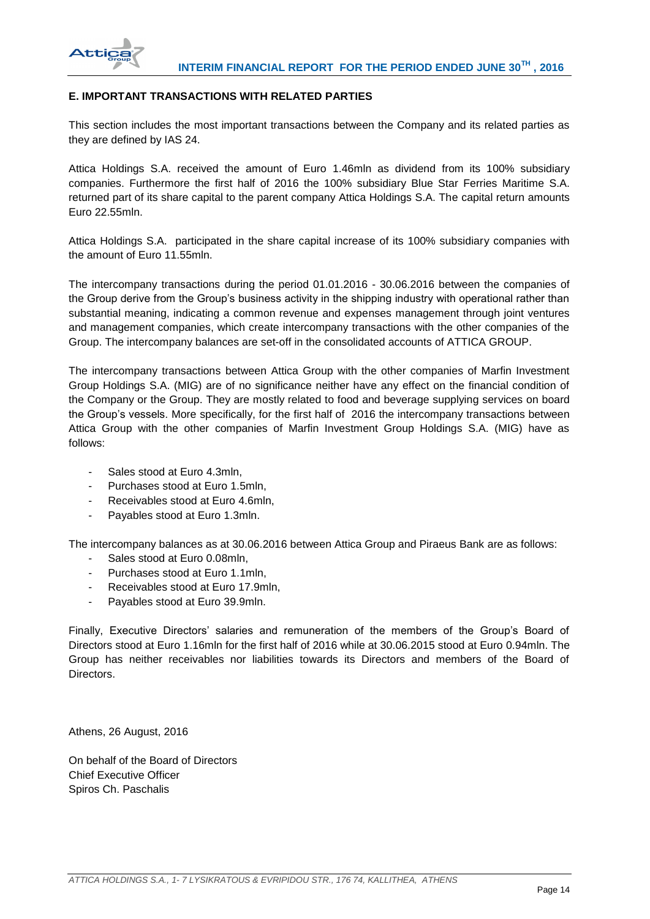

# **E. IMPORTANT TRANSACTIONS WITH RELATED PARTIES**

This section includes the most important transactions between the Company and its related parties as they are defined by IAS 24.

Attica Holdings S.A. received the amount of Euro 1.46mln as dividend from its 100% subsidiary companies. Furthermore the first half of 2016 the 100% subsidiary Blue Star Ferries Maritime S.A. returned part of its share capital to the parent company Attica Holdings S.A. The capital return amounts Euro 22.55mln.

Attica Holdings S.A. participated in the share capital increase of its 100% subsidiary companies with the amount of Euro 11.55mln.

The intercompany transactions during the period 01.01.2016 - 30.06.2016 between the companies of the Group derive from the Group's business activity in the shipping industry with operational rather than substantial meaning, indicating a common revenue and expenses management through joint ventures and management companies, which create intercompany transactions with the other companies of the Group. The intercompany balances are set-off in the consolidated accounts of ATTICA GROUP.

The intercompany transactions between Attica Group with the other companies of Marfin Investment Group Holdings S.A. (MIG) are of no significance neither have any effect on the financial condition of the Company or the Group. They are mostly related to food and beverage supplying services on board the Group's vessels. More specifically, for the first half of 2016 the intercompany transactions between Attica Group with the other companies of Marfin Investment Group Holdings S.A. (MIG) have as follows:

- Sales stood at Euro 4.3mln,
- Purchases stood at Euro 1.5mln,
- Receivables stood at Euro 4.6mln,
- Payables stood at Euro 1.3mln.

The intercompany balances as at 30.06.2016 between Attica Group and Piraeus Bank are as follows:

- Sales stood at Euro 0.08mln,
- Purchases stood at Euro 1.1mln,
- Receivables stood at Euro 17.9mln.
- Payables stood at Euro 39.9mln.

Finally, Executive Directors' salaries and remuneration of the members of the Group's Board of Directors stood at Euro 1.16mln for the first half of 2016 while at 30.06.2015 stood at Euro 0.94mln. The Group has neither receivables nor liabilities towards its Directors and members of the Board of Directors.

Athens, 26 August, 2016

On behalf of the Board of Directors Chief Executive Officer Spiros Ch. Paschalis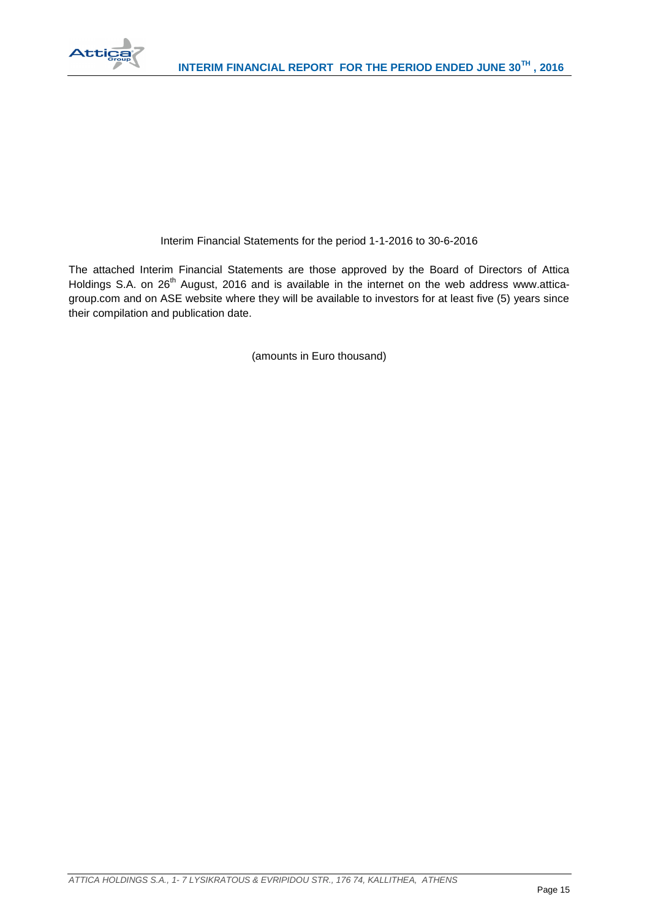

# Interim Financial Statements for the period 1-1-2016 to 30-6-2016

The attached Interim Financial Statements are those approved by the Board of Directors of Attica Holdings S.A. on 26<sup>th</sup> August, 2016 and is available in the internet on the web address www.atticagroup.com and on ASE website where they will be available to investors for at least five (5) years since their compilation and publication date.

(amounts in Euro thousand)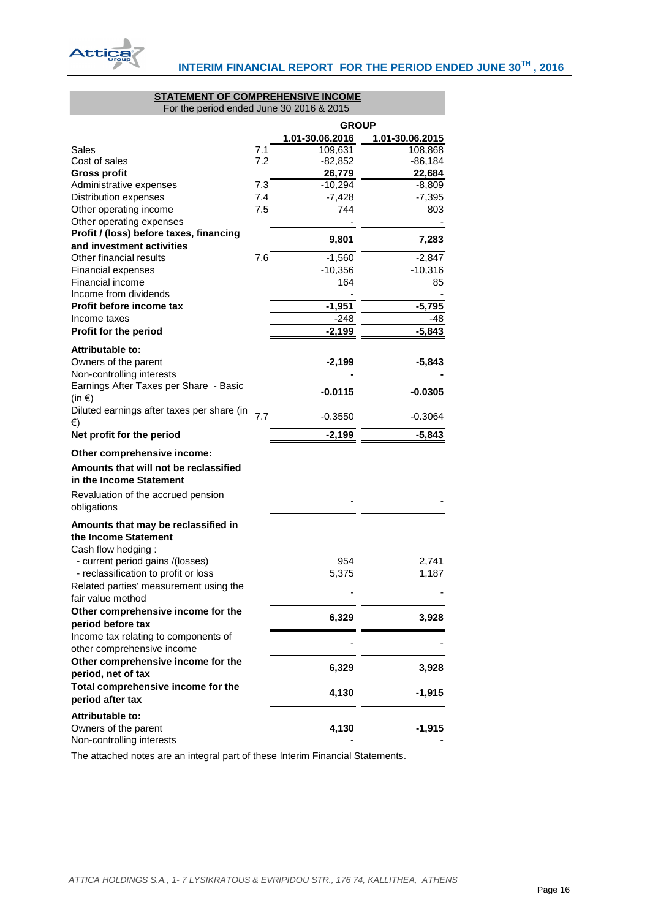

#### **STATEMENT OF COMPREHENSIVE INCOME** For the period ended June 30 2016 & 2015

<span id="page-16-0"></span>

|                                                           |     | <b>GROUP</b>    |                 |
|-----------------------------------------------------------|-----|-----------------|-----------------|
|                                                           |     | 1.01-30.06.2016 | 1.01-30.06.2015 |
| Sales                                                     | 7.1 | 109,631         | 108,868         |
| Cost of sales                                             | 7.2 | $-82,852$       | $-86,184$       |
| <b>Gross profit</b>                                       |     | 26,779          | 22,684          |
| Administrative expenses                                   | 7.3 | -10,294         | -8,809          |
| Distribution expenses                                     | 7.4 | $-7,428$        | $-7,395$        |
| Other operating income                                    | 7.5 | 744             | 803             |
| Other operating expenses                                  |     |                 |                 |
| Profit / (loss) before taxes, financing                   |     | 9,801           | 7,283           |
| and investment activities                                 |     |                 |                 |
| Other financial results                                   | 7.6 | $-1,560$        | $-2,847$        |
| <b>Financial expenses</b>                                 |     | $-10,356$       | $-10,316$       |
| <b>Financial income</b>                                   |     | 164             | 85              |
| Income from dividends                                     |     |                 |                 |
| Profit before income tax                                  |     | $-1,951$        | -5,795          |
| Income taxes                                              |     | $-248$          | -48             |
| Profit for the period                                     |     | $-2,199$        | $-5,843$        |
| Attributable to:                                          |     |                 |                 |
| Owners of the parent                                      |     | $-2,199$        | -5,843          |
| Non-controlling interests                                 |     |                 |                 |
| Earnings After Taxes per Share - Basic                    |     |                 |                 |
| $(in \in)$                                                |     | -0.0115         | -0.0305         |
| Diluted earnings after taxes per share (in                |     |                 |                 |
| €)                                                        | 7.7 | -0.3550         | -0.3064         |
| Net profit for the period                                 |     | $-2,199$        | $-5,843$        |
|                                                           |     |                 |                 |
| Other comprehensive income:                               |     |                 |                 |
| Amounts that will not be reclassified                     |     |                 |                 |
| in the Income Statement                                   |     |                 |                 |
| Revaluation of the accrued pension                        |     |                 |                 |
| obligations                                               |     |                 |                 |
| Amounts that may be reclassified in                       |     |                 |                 |
| the Income Statement                                      |     |                 |                 |
| Cash flow hedging:                                        |     |                 |                 |
| - current period gains /(losses)                          |     | 954             | 2,741           |
| - reclassification to profit or loss                      |     | 5,375           | 1,187           |
| Related parties' measurement using the                    |     |                 |                 |
| fair value method                                         |     |                 |                 |
|                                                           |     |                 |                 |
| Other comprehensive income for the                        |     | 6,329           | 3,928           |
| period before tax<br>Income tax relating to components of |     |                 |                 |
|                                                           |     |                 |                 |
| other comprehensive income                                |     |                 |                 |
| Other comprehensive income for the                        |     | 6,329           | 3,928           |
| period, net of tax                                        |     |                 |                 |
| Total comprehensive income for the                        |     | 4,130           | $-1,915$        |
| period after tax                                          |     |                 |                 |
| Attributable to:                                          |     |                 |                 |
| Owners of the parent                                      |     | 4,130           | $-1,915$        |
| Non-controlling interests                                 |     |                 |                 |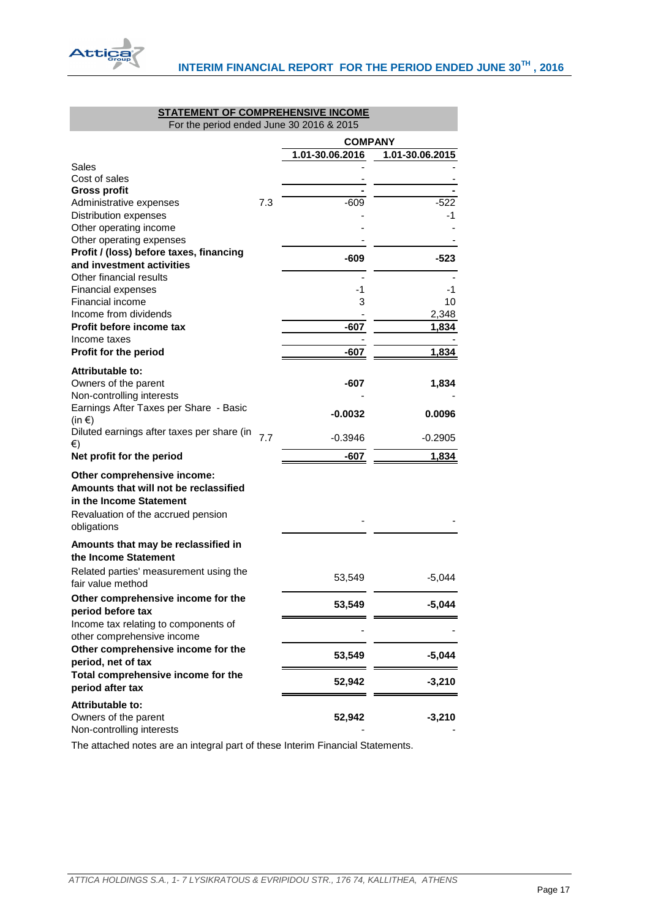

# **STATEMENT OF COMPREHENSIVE INCOME**

<span id="page-17-0"></span>

| For the period ended June 30 2016 & 2015                             |     |                 |                 |
|----------------------------------------------------------------------|-----|-----------------|-----------------|
|                                                                      |     | <b>COMPANY</b>  |                 |
|                                                                      |     | 1.01-30.06.2016 | 1.01-30.06.2015 |
| Sales                                                                |     |                 |                 |
| Cost of sales                                                        |     |                 |                 |
| <b>Gross profit</b>                                                  |     |                 |                 |
| Administrative expenses                                              | 7.3 | $-609$          | $-522$          |
| Distribution expenses                                                |     |                 | -1              |
| Other operating income<br>Other operating expenses                   |     |                 |                 |
| Profit / (loss) before taxes, financing                              |     |                 |                 |
| and investment activities                                            |     | $-609$          | -523            |
| Other financial results                                              |     |                 |                 |
| <b>Financial expenses</b>                                            |     | -1              | -1              |
| <b>Financial income</b>                                              |     | 3               | 10              |
| Income from dividends                                                |     |                 | 2,348           |
| Profit before income tax                                             |     | $-607$          | 1,834           |
| Income taxes                                                         |     |                 |                 |
| Profit for the period                                                |     | -607            | 1,834           |
| Attributable to:                                                     |     |                 |                 |
| Owners of the parent                                                 |     | $-607$          | 1,834           |
| Non-controlling interests                                            |     |                 |                 |
| Earnings After Taxes per Share - Basic<br>$(in \in)$                 |     | $-0.0032$       | 0.0096          |
| Diluted earnings after taxes per share (in                           |     |                 |                 |
| €)                                                                   | 7.7 | $-0.3946$       | $-0.2905$       |
| Net profit for the period                                            |     | -607            | 1,834           |
| Other comprehensive income:<br>Amounts that will not be reclassified |     |                 |                 |
| in the Income Statement                                              |     |                 |                 |
| Revaluation of the accrued pension                                   |     |                 |                 |
| obligations                                                          |     |                 |                 |
| Amounts that may be reclassified in                                  |     |                 |                 |
| the Income Statement                                                 |     |                 |                 |
| Related parties' measurement using the                               |     |                 | $-5,044$        |
| fair value method                                                    |     | 53,549          |                 |
| Other comprehensive income for the                                   |     | 53,549          | $-5,044$        |
| period before tax                                                    |     |                 |                 |
| Income tax relating to components of<br>other comprehensive income   |     |                 |                 |
| Other comprehensive income for the                                   |     |                 |                 |
| period, net of tax                                                   |     | 53,549          | $-5,044$        |
| Total comprehensive income for the                                   |     |                 |                 |
| period after tax                                                     |     | 52,942          | $-3,210$        |
| <b>Attributable to:</b>                                              |     |                 |                 |
| Owners of the parent                                                 |     | 52,942          | $-3,210$        |
| Non-controlling interests                                            |     |                 |                 |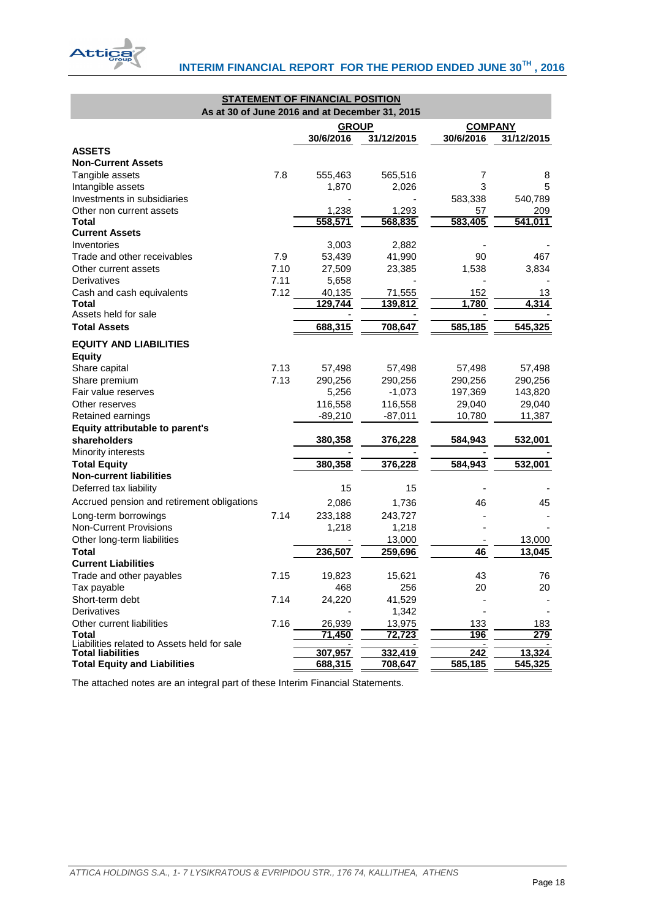

<span id="page-18-0"></span>

| As at 30 of June 2016 and at December 31, 2015 |      | <b>STATEMENT OF FINANCIAL POSITION</b> |                |                |            |
|------------------------------------------------|------|----------------------------------------|----------------|----------------|------------|
|                                                |      | <b>GROUP</b>                           |                | <b>COMPANY</b> |            |
|                                                |      | 30/6/2016                              | 31/12/2015     | 30/6/2016      | 31/12/2015 |
| <b>ASSETS</b>                                  |      |                                        |                |                |            |
| <b>Non-Current Assets</b>                      |      |                                        |                |                |            |
| Tangible assets                                | 7.8  | 555,463                                | 565,516        | 7              | 8          |
| Intangible assets                              |      | 1,870                                  | 2,026          | 3              | 5          |
| Investments in subsidiaries                    |      |                                        |                | 583,338        | 540,789    |
| Other non current assets                       |      | 1,238                                  | 1,293          | 57             | 209        |
| <b>Total</b>                                   |      | 558,571                                | 568,835        | 583,405        | 541,011    |
| <b>Current Assets</b>                          |      |                                        |                |                |            |
| Inventories                                    |      | 3,003                                  | 2,882          |                |            |
| Trade and other receivables                    | 7.9  | 53,439                                 | 41,990         | 90             | 467        |
| Other current assets                           | 7.10 | 27,509                                 | 23,385         | 1,538          | 3,834      |
| Derivatives                                    | 7.11 | 5,658                                  |                |                |            |
| Cash and cash equivalents                      | 7.12 | 40,135                                 | 71,555         | 152            | 13         |
| Total                                          |      | 129,744                                | <u>139,812</u> | 1,780          | 4,314      |
| Assets held for sale                           |      |                                        |                |                |            |
| <b>Total Assets</b>                            |      | 688,315                                | 708,647        | 585,185        | 545,325    |
| <b>EQUITY AND LIABILITIES</b><br><b>Equity</b> |      |                                        |                |                |            |
| Share capital                                  | 7.13 | 57,498                                 | 57,498         | 57,498         | 57,498     |
| Share premium                                  | 7.13 | 290,256                                | 290,256        | 290,256        | 290,256    |
| Fair value reserves                            |      | 5,256                                  | $-1,073$       | 197,369        | 143,820    |
| Other reserves                                 |      | 116,558                                | 116,558        | 29,040         | 29,040     |
| Retained earnings                              |      | $-89,210$                              | -87,011        | 10,780         | 11,387     |
| Equity attributable to parent's                |      |                                        |                |                |            |
| shareholders                                   |      | 380,358                                | 376,228        | 584,943        | 532,001    |
| Minority interests                             |      |                                        |                |                |            |
| <b>Total Equity</b>                            |      | 380,358                                | 376,228        | 584,943        | 532,001    |
| <b>Non-current liabilities</b>                 |      |                                        |                |                |            |
| Deferred tax liability                         |      | 15                                     | 15             |                |            |
| Accrued pension and retirement obligations     |      | 2,086                                  | 1,736          | 46             | 45         |
| Long-term borrowings                           | 7.14 | 233,188                                | 243,727        |                |            |
| <b>Non-Current Provisions</b>                  |      | 1,218                                  | 1,218          |                |            |
| Other long-term liabilities                    |      |                                        | 13,000         |                | 13,000     |
| Total                                          |      | 236,507                                | 259,696        | 46             | 13,045     |
| <b>Current Liabilities</b>                     |      |                                        |                |                |            |
| Trade and other payables                       | 7.15 | 19,823                                 | 15,621         | 43             | 76         |
| Tax payable                                    |      | 468                                    | 256            | 20             | 20         |
| Short-term debt                                | 7.14 | 24,220                                 | 41,529         |                |            |
| Derivatives                                    |      |                                        | 1,342          |                |            |
| Other current liabilities                      | 7.16 | 26,939                                 | 13,975         | 133            | <u>183</u> |
| <b>Total</b>                                   |      | 71,450                                 | 72,723         | 196            | 279        |
| Liabilities related to Assets held for sale    |      |                                        |                |                |            |
| <b>Total liabilities</b>                       |      | 307,957                                | 332,419        | 242            | 13,324     |
| <b>Total Equity and Liabilities</b>            |      | 688,315                                | 708,647        | <u>585,185</u> | 545,325    |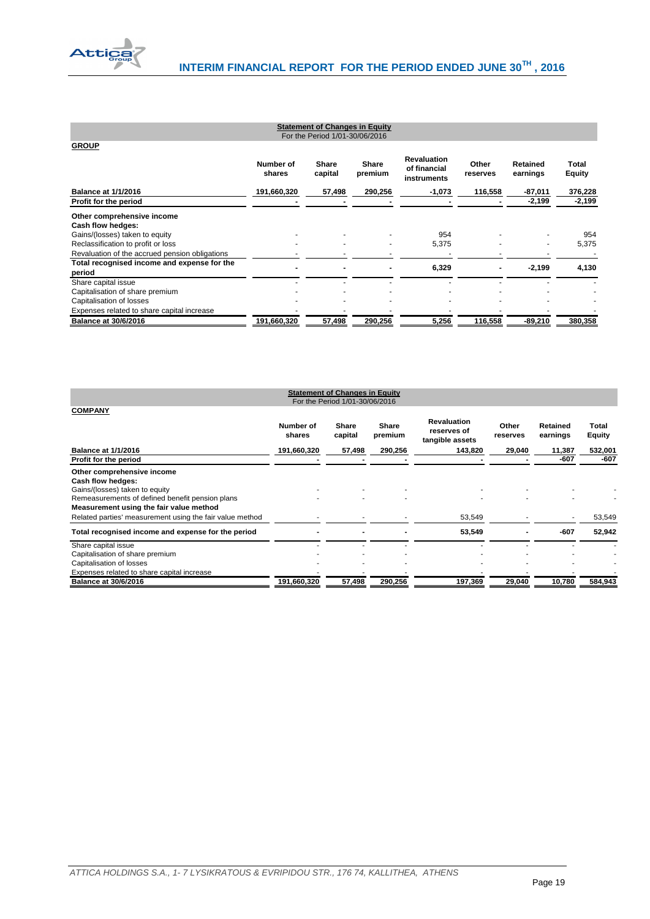

| <b>Statement of Changes in Equity</b><br>For the Period 1/01-30/06/2016              |                     |                         |                         |                                                   |                   |                      |                        |  |  |
|--------------------------------------------------------------------------------------|---------------------|-------------------------|-------------------------|---------------------------------------------------|-------------------|----------------------|------------------------|--|--|
| <b>GROUP</b>                                                                         |                     |                         |                         |                                                   |                   |                      |                        |  |  |
|                                                                                      | Number of<br>shares | <b>Share</b><br>capital | <b>Share</b><br>premium | <b>Revaluation</b><br>of financial<br>instruments | Other<br>reserves | Retained<br>earnings | Total<br><b>Equity</b> |  |  |
| <b>Balance at 1/1/2016</b>                                                           | 191,660,320         | 57,498                  | 290,256                 | $-1,073$                                          | 116,558           | $-87,011$            | 376,228                |  |  |
| Profit for the period                                                                |                     |                         |                         |                                                   |                   | $-2,199$             | $-2,199$               |  |  |
| Other comprehensive income<br>Cash flow hedges:                                      |                     |                         |                         |                                                   |                   |                      |                        |  |  |
| Gains/(losses) taken to equity                                                       |                     |                         |                         | 954<br>5,375                                      |                   |                      | 954<br>5,375           |  |  |
| Reclassification to profit or loss<br>Revaluation of the accrued pension obligations |                     |                         |                         |                                                   |                   |                      |                        |  |  |
| Total recognised income and expense for the<br>period                                |                     |                         |                         | 6,329                                             |                   | $-2,199$             | 4,130                  |  |  |
| Share capital issue                                                                  |                     |                         |                         |                                                   |                   |                      |                        |  |  |
| Capitalisation of share premium<br>Capitalisation of losses                          |                     |                         |                         |                                                   |                   |                      |                        |  |  |
| Expenses related to share capital increase                                           |                     |                         |                         |                                                   |                   |                      |                        |  |  |
| <b>Balance at 30/6/2016</b>                                                          | 191,660,320         | 57,498                  | 290,256                 | 5,256                                             | 116,558           | $-89,210$            | 380,358                |  |  |

<span id="page-19-1"></span><span id="page-19-0"></span>

| <b>Statement of Changes in Equity</b><br>For the Period 1/01-30/06/2016                                                                                                         |                     |                  |                  |                                                      |                   |                             |                        |  |
|---------------------------------------------------------------------------------------------------------------------------------------------------------------------------------|---------------------|------------------|------------------|------------------------------------------------------|-------------------|-----------------------------|------------------------|--|
| <b>COMPANY</b>                                                                                                                                                                  | Number of<br>shares | Share<br>capital | Share<br>premium | <b>Revaluation</b><br>reserves of<br>tangible assets | Other<br>reserves | <b>Retained</b><br>earnings | Total<br><b>Equity</b> |  |
| <b>Balance at 1/1/2016</b>                                                                                                                                                      | 191,660,320         | 57,498           | 290,256          | 143,820                                              | 29,040            | 11,387                      | 532,001                |  |
| Profit for the period                                                                                                                                                           |                     |                  |                  |                                                      |                   | -607                        | $-607$                 |  |
| Other comprehensive income<br>Cash flow hedges:<br>Gains/(losses) taken to equity<br>Remeasurements of defined benefit pension plans<br>Measurement using the fair value method |                     |                  |                  |                                                      |                   |                             |                        |  |
| Related parties' measurement using the fair value method                                                                                                                        |                     |                  |                  | 53,549                                               |                   |                             | 53,549                 |  |
| Total recognised income and expense for the period                                                                                                                              |                     |                  |                  | 53,549                                               |                   | -607                        | 52,942                 |  |
| Share capital issue<br>Capitalisation of share premium                                                                                                                          |                     |                  |                  |                                                      |                   |                             |                        |  |
| Capitalisation of losses                                                                                                                                                        |                     |                  |                  |                                                      |                   |                             |                        |  |
| Expenses related to share capital increase                                                                                                                                      |                     |                  |                  |                                                      |                   |                             |                        |  |
| <b>Balance at 30/6/2016</b>                                                                                                                                                     | 191,660,320         | 57,498           | 290,256          | 197,369                                              | 29,040            | 10,780                      | 584,943                |  |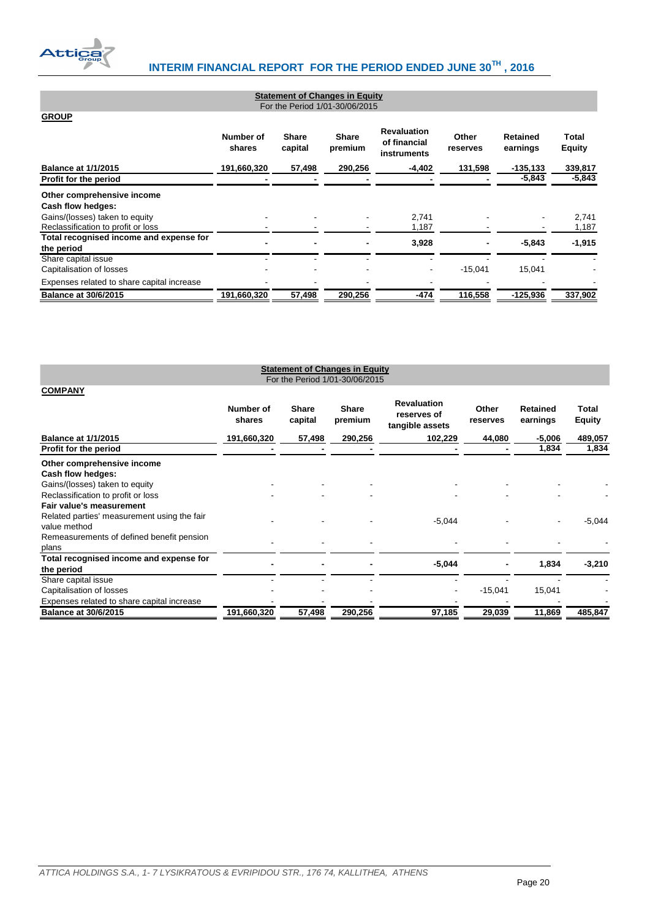

| <b>Statement of Changes in Equity</b><br>For the Period 1/01-30/06/2015 |                     |                         |                         |                                                   |                   |                      |                        |  |
|-------------------------------------------------------------------------|---------------------|-------------------------|-------------------------|---------------------------------------------------|-------------------|----------------------|------------------------|--|
| <b>GROUP</b>                                                            |                     |                         |                         |                                                   |                   |                      |                        |  |
|                                                                         | Number of<br>shares | <b>Share</b><br>capital | <b>Share</b><br>premium | <b>Revaluation</b><br>of financial<br>instruments | Other<br>reserves | Retained<br>earnings | Total<br><b>Equity</b> |  |
| <b>Balance at 1/1/2015</b>                                              | 191,660,320         | 57,498                  | 290,256                 | $-4,402$                                          | 131,598           | $-135, 133$          | 339,817                |  |
| Profit for the period                                                   |                     |                         |                         |                                                   |                   | $-5,843$             | $-5,843$               |  |
| Other comprehensive income<br>Cash flow hedges:                         |                     |                         |                         |                                                   |                   |                      |                        |  |
| Gains/(losses) taken to equity<br>Reclassification to profit or loss    |                     |                         |                         | 2,741<br>1,187                                    |                   |                      | 2,741<br>1,187         |  |
| Total recognised income and expense for<br>the period                   | -                   |                         |                         | 3,928                                             |                   | $-5.843$             | $-1,915$               |  |
| Share capital issue<br>Capitalisation of losses                         |                     |                         |                         | ۰                                                 | $-15,041$         | 15,041               |                        |  |
| Expenses related to share capital increase                              |                     |                         |                         |                                                   |                   |                      |                        |  |
| <b>Balance at 30/6/2015</b>                                             | 191,660,320         | 57,498                  | 290,256                 | $-474$                                            | 116,558           | $-125,936$           | 337,902                |  |

<span id="page-20-1"></span><span id="page-20-0"></span>

| <b>Statement of Changes in Equity</b><br>For the Period 1/01-30/06/2015 |                     |                         |                         |                                                      |                   |                             |                        |
|-------------------------------------------------------------------------|---------------------|-------------------------|-------------------------|------------------------------------------------------|-------------------|-----------------------------|------------------------|
| <b>COMPANY</b>                                                          |                     |                         |                         |                                                      |                   |                             |                        |
|                                                                         | Number of<br>shares | <b>Share</b><br>capital | <b>Share</b><br>premium | <b>Revaluation</b><br>reserves of<br>tangible assets | Other<br>reserves | <b>Retained</b><br>earnings | Total<br><b>Equity</b> |
| <b>Balance at 1/1/2015</b>                                              | 191,660,320         | 57,498                  | 290,256                 | 102,229                                              | 44,080            | $-5,006$                    | 489,057                |
| Profit for the period                                                   |                     |                         |                         |                                                      |                   | 1,834                       | 1,834                  |
| Other comprehensive income<br>Cash flow hedges:                         |                     |                         |                         |                                                      |                   |                             |                        |
| Gains/(losses) taken to equity                                          |                     |                         |                         |                                                      |                   |                             |                        |
| Reclassification to profit or loss                                      |                     |                         |                         |                                                      |                   |                             |                        |
| Fair value's measurement                                                |                     |                         |                         |                                                      |                   |                             |                        |
| Related parties' measurement using the fair<br>value method             |                     |                         |                         | $-5,044$                                             |                   |                             | $-5,044$               |
| Remeasurements of defined benefit pension                               |                     |                         |                         |                                                      |                   |                             |                        |
| plans                                                                   |                     |                         |                         |                                                      |                   |                             |                        |
| Total recognised income and expense for                                 |                     |                         |                         | $-5,044$                                             |                   | 1,834                       | $-3,210$               |
| the period                                                              |                     |                         |                         |                                                      |                   |                             |                        |
| Share capital issue                                                     |                     |                         |                         |                                                      |                   |                             |                        |
| Capitalisation of losses                                                |                     |                         |                         |                                                      | $-15,041$         | 15,041                      |                        |
| Expenses related to share capital increase                              |                     |                         |                         |                                                      |                   |                             |                        |
| <b>Balance at 30/6/2015</b>                                             | 191,660,320         | 57,498                  | 290,256                 | 97,185                                               | 29,039            | 11,869                      | 485,847                |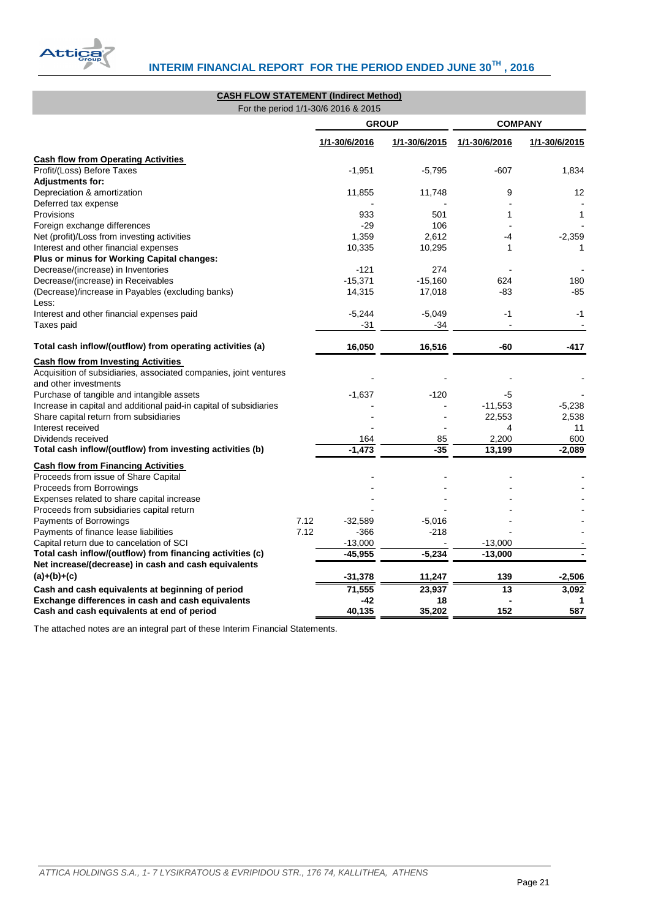

<span id="page-21-0"></span>

| <b>CASH FLOW STATEMENT (Indirect Method)</b>                       |               |               |                 |               |
|--------------------------------------------------------------------|---------------|---------------|-----------------|---------------|
| For the period 1/1-30/6 2016 & 2015                                |               |               |                 |               |
|                                                                    |               | <b>GROUP</b>  | <b>COMPANY</b>  |               |
|                                                                    | 1/1-30/6/2016 | 1/1-30/6/2015 | 1/1-30/6/2016   | 1/1-30/6/2015 |
| <b>Cash flow from Operating Activities</b>                         |               |               |                 |               |
| Profit/(Loss) Before Taxes                                         | $-1,951$      | $-5,795$      | $-607$          | 1,834         |
| <b>Adjustments for:</b>                                            |               |               |                 |               |
| Depreciation & amortization                                        | 11,855        | 11,748        | 9               | 12            |
| Deferred tax expense                                               |               |               |                 |               |
| Provisions                                                         | 933           | 501           | 1               | 1             |
| Foreign exchange differences                                       | $-29$         | 106           |                 |               |
| Net (profit)/Loss from investing activities                        | 1,359         | 2,612         | -4              | $-2,359$      |
| Interest and other financial expenses                              | 10,335        | 10,295        | 1               | 1             |
| Plus or minus for Working Capital changes:                         |               |               |                 |               |
| Decrease/(increase) in Inventories                                 | $-121$        | 274           |                 |               |
| Decrease/(increase) in Receivables                                 | $-15,371$     | $-15,160$     | 624             | 180           |
| (Decrease)/increase in Payables (excluding banks)                  | 14,315        | 17,018        | -83             | $-85$         |
| Less:                                                              |               |               |                 |               |
| Interest and other financial expenses paid                         | $-5,244$      | $-5,049$      | $-1$            | $-1$          |
| Taxes paid                                                         | $-31$         | -34           |                 |               |
| Total cash inflow/(outflow) from operating activities (a)          | 16,050        | 16,516        | -60             | $-417$        |
| <b>Cash flow from Investing Activities</b>                         |               |               |                 |               |
| Acquisition of subsidiaries, associated companies, joint ventures  |               |               |                 |               |
| and other investments                                              |               |               |                 |               |
| Purchase of tangible and intangible assets                         | $-1,637$      | $-120$        | -5              |               |
| Increase in capital and additional paid-in capital of subsidiaries |               |               | $-11,553$       | $-5,238$      |
| Share capital return from subsidiaries                             |               |               | 22,553          | 2,538         |
| Interest received                                                  |               |               | 4               | 11            |
| Dividends received                                                 | 164           | 85            | 2,200           | 600           |
| Total cash inflow/(outflow) from investing activities (b)          | $-1,473$      | $-35$         | 13,199          | $-2.089$      |
| <b>Cash flow from Financing Activities</b>                         |               |               |                 |               |
| Proceeds from issue of Share Capital                               |               |               |                 |               |
| Proceeds from Borrowings                                           |               |               |                 |               |
| Expenses related to share capital increase                         |               |               |                 |               |
| Proceeds from subsidiaries capital return                          |               |               |                 |               |
| Payments of Borrowings<br>7.12                                     | $-32,589$     | $-5,016$      |                 |               |
| Payments of finance lease liabilities<br>7.12                      | $-366$        | $-218$        |                 |               |
| Capital return due to cancelation of SCI                           | $-13,000$     |               | $-13,000$       |               |
| Total cash inflow/(outflow) from financing activities (c)          | $-45,955$     | $-5,234$      | $-13,000$       |               |
| Net increase/(decrease) in cash and cash equivalents               |               |               |                 |               |
| $(a)+(b)+(c)$                                                      | $-31,378$     | 11,247        | 139             | $-2,506$      |
| Cash and cash equivalents at beginning of period                   | 71,555        | 23,937        | $\overline{13}$ | 3,092         |
| Exchange differences in cash and cash equivalents                  | $-42$         | 18            |                 | 1             |
| Cash and cash equivalents at end of period                         | 40,135        | 35.202        | 152             | 587           |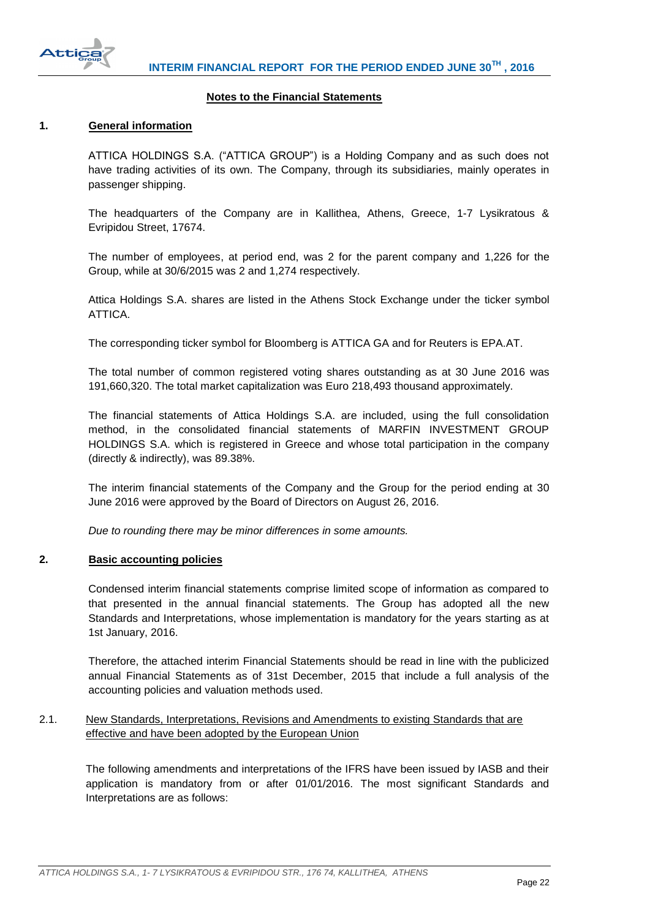

#### **Notes to the Financial Statements**

### <span id="page-22-1"></span><span id="page-22-0"></span>**1. General information**

ATTICA HOLDINGS S.A. ("ATTICA GROUP") is a Holding Company and as such does not have trading activities of its own. The Company, through its subsidiaries, mainly operates in passenger shipping.

The headquarters of the Company are in Kallithea, Athens, Greece, 1-7 Lysikratous & Evripidou Street, 17674.

The number of employees, at period end, was 2 for the parent company and 1,226 for the Group, while at 30/6/2015 was 2 and 1,274 respectively.

Attica Holdings S.A. shares are listed in the Athens Stock Exchange under the ticker symbol ATTICA.

The corresponding ticker symbol for Bloomberg is ATTICA GA and for Reuters is EPA.AT.

The total number of common registered voting shares outstanding as at 30 June 2016 was 191,660,320. The total market capitalization was Euro 218,493 thousand approximately.

The financial statements of Attica Holdings S.A. are included, using the full consolidation method, in the consolidated financial statements of MARFIN INVESTMENT GROUP HOLDINGS S.A. which is registered in Greece and whose total participation in the company (directly & indirectly), was 89.38%.

The interim financial statements of the Company and the Group for the period ending at 30 June 2016 were approved by the Board of Directors on August 26, 2016.

*Due to rounding there may be minor differences in some amounts.*

#### <span id="page-22-2"></span>**2. Basic accounting policies**

Condensed interim financial statements comprise limited scope of information as compared to that presented in the annual financial statements. The Group has adopted all the new Standards and Interpretations, whose implementation is mandatory for the years starting as at 1st January, 2016.

Therefore, the attached interim Financial Statements should be read in line with the publicized annual Financial Statements as of 31st December, 2015 that include a full analysis of the accounting policies and valuation methods used.

# <span id="page-22-3"></span>2.1. New Standards, Interpretations, Revisions and Amendments to existing Standards that are effective and have been adopted by the European Union

The following amendments and interpretations of the IFRS have been issued by IASB and their application is mandatory from or after 01/01/2016. The most significant Standards and Interpretations are as follows: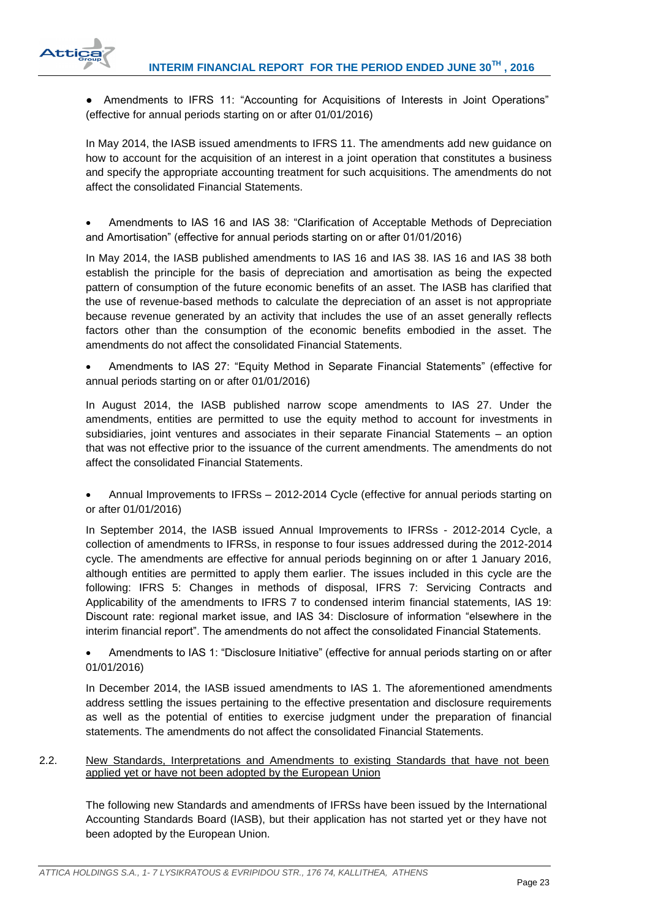

● Amendments to IFRS 11: "Accounting for Acquisitions of Interests in Joint Operations" (effective for annual periods starting on or after 01/01/2016)

In May 2014, the IASB issued amendments to IFRS 11. The amendments add new guidance on how to account for the acquisition of an interest in a joint operation that constitutes a business and specify the appropriate accounting treatment for such acquisitions. The amendments do not affect the consolidated Financial Statements.

 Amendments to IAS 16 and IAS 38: "Clarification of Acceptable Methods of Depreciation and Amortisation" (effective for annual periods starting on or after 01/01/2016)

In May 2014, the IASB published amendments to IAS 16 and IAS 38. IAS 16 and IAS 38 both establish the principle for the basis of depreciation and amortisation as being the expected pattern of consumption of the future economic benefits of an asset. The IASB has clarified that the use of revenue-based methods to calculate the depreciation of an asset is not appropriate because revenue generated by an activity that includes the use of an asset generally reflects factors other than the consumption of the economic benefits embodied in the asset. The amendments do not affect the consolidated Financial Statements.

 Amendments to IAS 27: "Equity Method in Separate Financial Statements" (effective for annual periods starting on or after 01/01/2016)

In August 2014, the IASB published narrow scope amendments to IAS 27. Under the amendments, entities are permitted to use the equity method to account for investments in subsidiaries, joint ventures and associates in their separate Financial Statements – an option that was not effective prior to the issuance of the current amendments. The amendments do not affect the consolidated Financial Statements.

 Annual Improvements to IFRSs – 2012-2014 Cycle (effective for annual periods starting on or after 01/01/2016)

In September 2014, the IASB issued Annual Improvements to IFRSs - 2012-2014 Cycle, a collection of amendments to IFRSs, in response to four issues addressed during the 2012-2014 cycle. The amendments are effective for annual periods beginning on or after 1 January 2016, although entities are permitted to apply them earlier. The issues included in this cycle are the following: IFRS 5: Changes in methods of disposal, IFRS 7: Servicing Contracts and Applicability of the amendments to IFRS 7 to condensed interim financial statements, IAS 19: Discount rate: regional market issue, and IAS 34: Disclosure of information "elsewhere in the interim financial report". The amendments do not affect the consolidated Financial Statements.

 Amendments to IAS 1: "Disclosure Initiative" (effective for annual periods starting on or after 01/01/2016)

In December 2014, the IASB issued amendments to IAS 1. The aforementioned amendments address settling the issues pertaining to the effective presentation and disclosure requirements as well as the potential of entities to exercise judgment under the preparation of financial statements. The amendments do not affect the consolidated Financial Statements.

## <span id="page-23-0"></span>2.2. New Standards, Interpretations and Amendments to existing Standards that have not been applied yet or have not been adopted by the European Union

The following new Standards and amendments of IFRSs have been issued by the International Accounting Standards Board (IASB), but their application has not started yet or they have not been adopted by the European Union.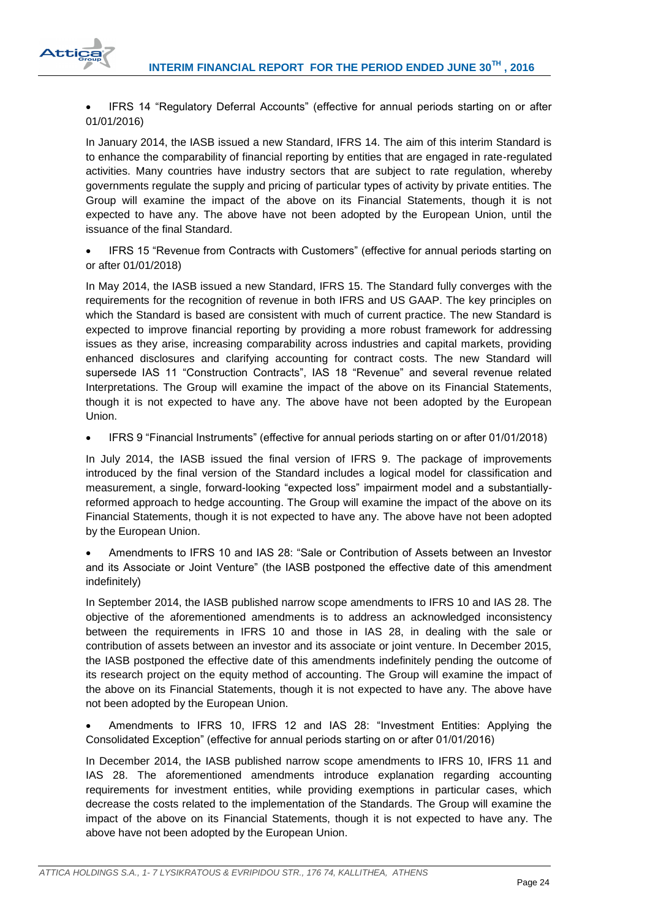

 IFRS 14 "Regulatory Deferral Accounts" (effective for annual periods starting on or after 01/01/2016)

In January 2014, the IASB issued a new Standard, IFRS 14. The aim of this interim Standard is to enhance the comparability of financial reporting by entities that are engaged in rate-regulated activities. Many countries have industry sectors that are subject to rate regulation, whereby governments regulate the supply and pricing of particular types of activity by private entities. The Group will examine the impact of the above on its Financial Statements, though it is not expected to have any. The above have not been adopted by the European Union, until the issuance of the final Standard.

 IFRS 15 "Revenue from Contracts with Customers" (effective for annual periods starting on or after 01/01/2018)

In May 2014, the IASB issued a new Standard, IFRS 15. The Standard fully converges with the requirements for the recognition of revenue in both IFRS and US GAAP. The key principles on which the Standard is based are consistent with much of current practice. The new Standard is expected to improve financial reporting by providing a more robust framework for addressing issues as they arise, increasing comparability across industries and capital markets, providing enhanced disclosures and clarifying accounting for contract costs. The new Standard will supersede IAS 11 "Construction Contracts", IAS 18 "Revenue" and several revenue related Interpretations. The Group will examine the impact of the above on its Financial Statements, though it is not expected to have any. The above have not been adopted by the European Union.

IFRS 9 "Financial Instruments" (effective for annual periods starting on or after 01/01/2018)

In July 2014, the IASB issued the final version of IFRS 9. The package of improvements introduced by the final version of the Standard includes a logical model for classification and measurement, a single, forward-looking "expected loss" impairment model and a substantiallyreformed approach to hedge accounting. The Group will examine the impact of the above on its Financial Statements, though it is not expected to have any. The above have not been adopted by the European Union.

 Amendments to IFRS 10 and IAS 28: "Sale or Contribution of Assets between an Investor and its Associate or Joint Venture" (the IASB postponed the effective date of this amendment indefinitely)

In September 2014, the IASB published narrow scope amendments to IFRS 10 and IAS 28. The objective of the aforementioned amendments is to address an acknowledged inconsistency between the requirements in IFRS 10 and those in IAS 28, in dealing with the sale or contribution of assets between an investor and its associate or joint venture. In December 2015, the IASB postponed the effective date of this amendments indefinitely pending the outcome of its research project on the equity method of accounting. The Group will examine the impact of the above on its Financial Statements, though it is not expected to have any. The above have not been adopted by the European Union.

 Amendments to IFRS 10, IFRS 12 and IAS 28: "Investment Entities: Applying the Consolidated Exception" (effective for annual periods starting on or after 01/01/2016)

In December 2014, the IASB published narrow scope amendments to IFRS 10, IFRS 11 and IAS 28. The aforementioned amendments introduce explanation regarding accounting requirements for investment entities, while providing exemptions in particular cases, which decrease the costs related to the implementation of the Standards. The Group will examine the impact of the above on its Financial Statements, though it is not expected to have any. The above have not been adopted by the European Union.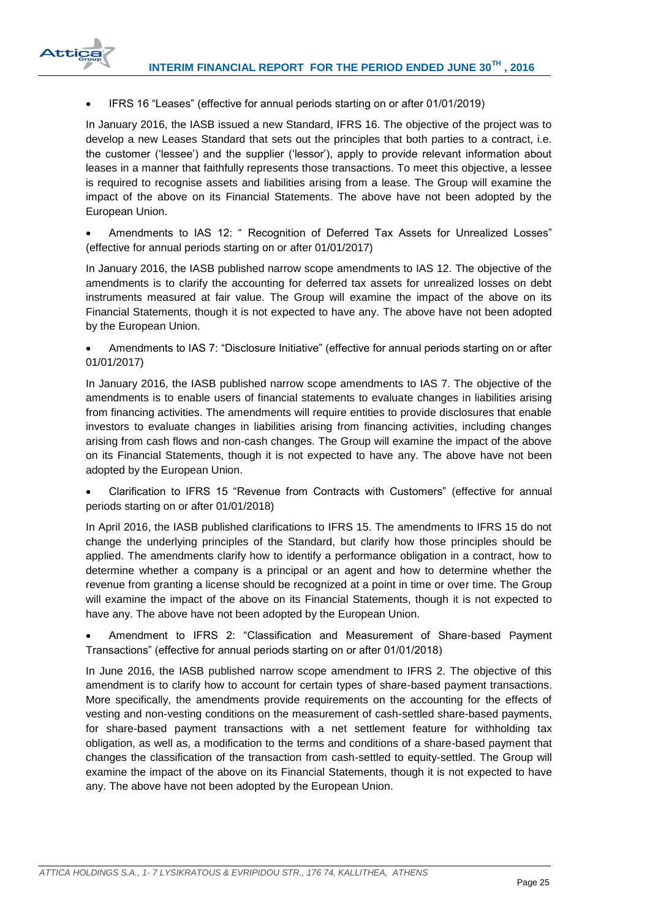

IFRS 16 "Leases" (effective for annual periods starting on or after 01/01/2019)

In January 2016, the IASB issued a new Standard, IFRS 16. The objective of the project was to develop a new Leases Standard that sets out the principles that both parties to a contract, i.e. the customer ('lessee') and the supplier ('lessor'), apply to provide relevant information about leases in a manner that faithfully represents those transactions. To meet this objective, a lessee is required to recognise assets and liabilities arising from a lease. The Group will examine the impact of the above on its Financial Statements. The above have not been adopted by the European Union.

Amendments to IAS 12: " Recognition of Deferred Tax Assets for Unrealized Losses" (effective for annual periods starting on or after 01/01/2017)

In January 2016, the IASB published narrow scope amendments to IAS 12. The objective of the amendments is to clarify the accounting for deferred tax assets for unrealized losses on debt instruments measured at fair value. The Group will examine the impact of the above on its Financial Statements, though it is not expected to have any. The above have not been adopted by the European Union.

 Amendments to IAS 7: "Disclosure Initiative" (effective for annual periods starting on or after 01/01/2017)

In January 2016, the IASB published narrow scope amendments to IAS 7. The objective of the amendments is to enable users of financial statements to evaluate changes in liabilities arising from financing activities. The amendments will require entities to provide disclosures that enable investors to evaluate changes in liabilities arising from financing activities, including changes arising from cash flows and non-cash changes. The Group will examine the impact of the above on its Financial Statements, though it is not expected to have any. The above have not been adopted by the European Union.

 Clarification to IFRS 15 "Revenue from Contracts with Customers" (effective for annual periods starting on or after 01/01/2018)

In April 2016, the IASB published clarifications to IFRS 15. The amendments to IFRS 15 do not change the underlying principles of the Standard, but clarify how those principles should be applied. The amendments clarify how to identify a performance obligation in a contract, how to determine whether a company is a principal or an agent and how to determine whether the revenue from granting a license should be recognized at a point in time or over time. The Group will examine the impact of the above on its Financial Statements, though it is not expected to have any. The above have not been adopted by the European Union.

 Amendment to IFRS 2: "Classification and Measurement of Share-based Payment Transactions" (effective for annual periods starting on or after 01/01/2018)

In June 2016, the IASB published narrow scope amendment to IFRS 2. The objective of this amendment is to clarify how to account for certain types of share-based payment transactions. More specifically, the amendments provide requirements on the accounting for the effects of vesting and non-vesting conditions on the measurement of cash-settled share-based payments, for share-based payment transactions with a net settlement feature for withholding tax obligation, as well as, a modification to the terms and conditions of a share-based payment that changes the classification of the transaction from cash-settled to equity-settled. The Group will examine the impact of the above on its Financial Statements, though it is not expected to have any. The above have not been adopted by the European Union.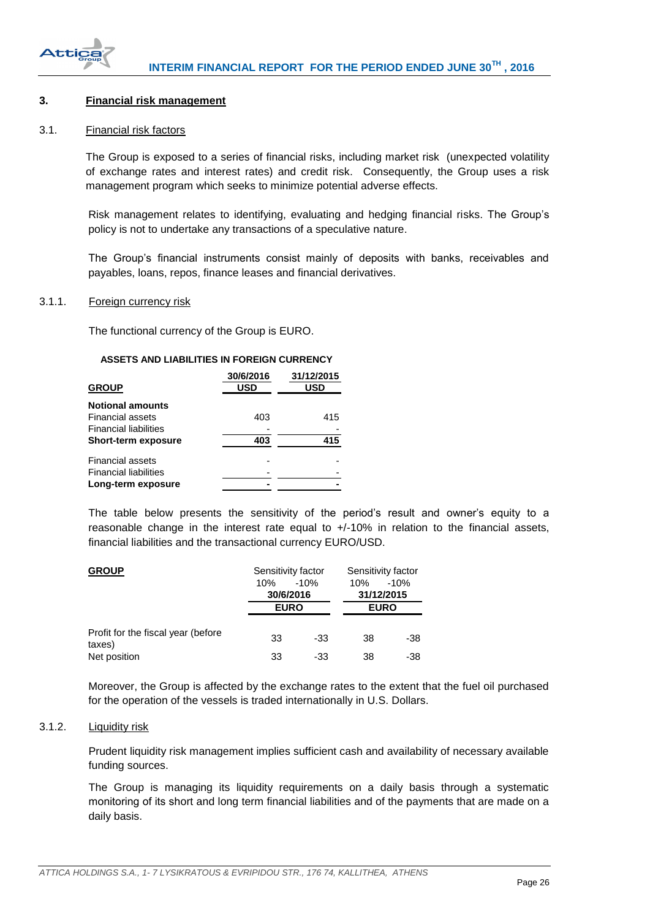

## <span id="page-26-0"></span>**3. Financial risk management**

#### <span id="page-26-1"></span>3.1. Financial risk factors

The Group is exposed to a series of financial risks, including market risk (unexpected volatility of exchange rates and interest rates) and credit risk. Consequently, the Group uses a risk management program which seeks to minimize potential adverse effects.

Risk management relates to identifying, evaluating and hedging financial risks. The Group's policy is not to undertake any transactions of a speculative nature.

The Group's financial instruments consist mainly of deposits with banks, receivables and payables, loans, repos, finance leases and financial derivatives.

#### <span id="page-26-2"></span>3.1.1. Foreign currency risk

The functional currency of the Group is EURO.

#### **ASSETS AND LIABILITIES IN FOREIGN CURRENCY**

| <b>GROUP</b>                 | 30/6/2016<br>USD | 31/12/2015<br>USD |
|------------------------------|------------------|-------------------|
| <b>Notional amounts</b>      |                  |                   |
| Financial assets             | 403              | 415               |
| <b>Financial liabilities</b> |                  |                   |
| <b>Short-term exposure</b>   | 403              | 415               |
| Financial assets             |                  |                   |
| <b>Financial liabilities</b> |                  |                   |
| Long-term exposure           |                  |                   |

The table below presents the sensitivity of the period's result and owner's equity to a reasonable change in the interest rate equal to +/-10% in relation to the financial assets, financial liabilities and the transactional currency EURO/USD.

| <b>GROUP</b>                                 | Sensitivity factor |        | Sensitivity factor |             |
|----------------------------------------------|--------------------|--------|--------------------|-------------|
|                                              | 10%                | $-10%$ | 10%                | $-10%$      |
|                                              | 30/6/2016          |        |                    | 31/12/2015  |
|                                              | <b>EURO</b>        |        |                    | <b>EURO</b> |
| Profit for the fiscal year (before<br>taxes) | 33                 | -33    | 38                 | -38         |
| Net position                                 | 33                 | -33    | 38                 | -38         |

Moreover, the Group is affected by the exchange rates to the extent that the fuel oil purchased for the operation of the vessels is traded internationally in U.S. Dollars.

#### <span id="page-26-3"></span>3.1.2. Liquidity risk

Prudent liquidity risk management implies sufficient cash and availability of necessary available funding sources.

The Group is managing its liquidity requirements on a daily basis through a systematic monitoring οf its short and long term financial liabilities and of the payments that are made on a daily basis.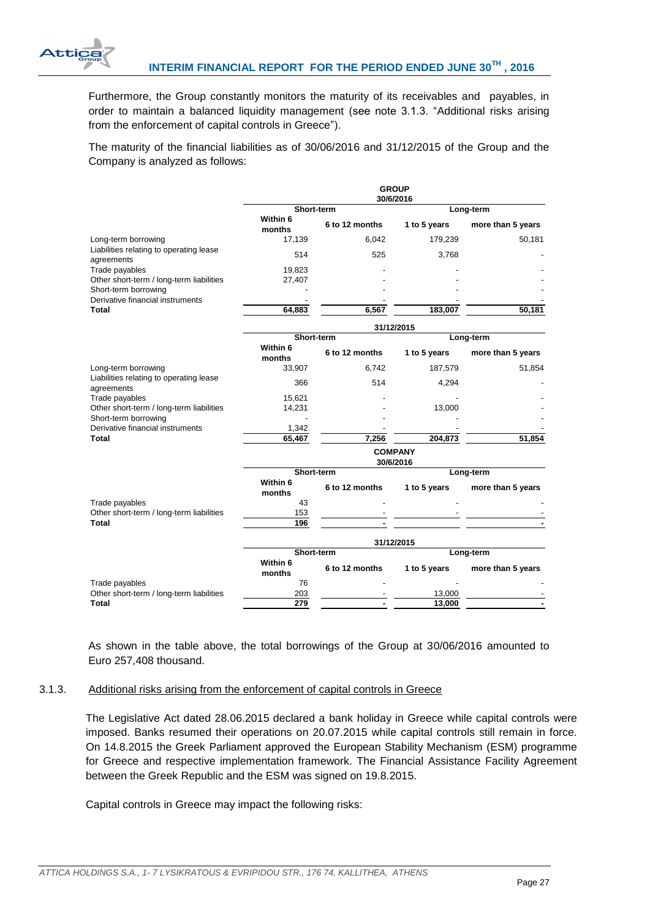

Furthermore, the Group constantly monitors the maturity of its receivables and payables, in order to maintain a balanced liquidity management (see note 3.1.3. "Additional risks arising from the enforcement of capital controls in Greece").

The maturity of the financial liabilities as of 30/06/2016 and 31/12/2015 of the Group and the Company is analyzed as follows:

|                                                       | <b>GROUP</b><br>30/6/2016   |                |              |                   |  |  |
|-------------------------------------------------------|-----------------------------|----------------|--------------|-------------------|--|--|
|                                                       |                             | Short-term     | Long-term    |                   |  |  |
|                                                       | Within 6<br>months          | 6 to 12 months | 1 to 5 years | more than 5 years |  |  |
| Long-term borrowing                                   | 17,139                      | 6,042          | 179,239      | 50,181            |  |  |
| Liabilities relating to operating lease<br>agreements | 514                         | 525            | 3,768        |                   |  |  |
| Trade payables                                        | 19,823                      |                |              |                   |  |  |
| Other short-term / long-term liabilities              | 27,407                      |                |              |                   |  |  |
| Short-term borrowing                                  |                             |                |              |                   |  |  |
| Derivative financial instruments                      |                             |                |              |                   |  |  |
| Total                                                 | 64.883                      | 6.567          | 183,007      | 50.181            |  |  |
|                                                       | 31/12/2015                  |                |              |                   |  |  |
|                                                       | Short-term                  |                | Long-term    |                   |  |  |
|                                                       | Within 6<br>months          | 6 to 12 months | 1 to 5 years | more than 5 years |  |  |
| Long-term borrowing                                   | 33,907                      | 6,742          | 187,579      | 51,854            |  |  |
| Liabilities relating to operating lease<br>agreements | 366                         | 514            | 4,294        |                   |  |  |
| Trade payables                                        | 15,621                      |                |              |                   |  |  |
| Other short-term / long-term liabilities              | 14,231                      |                | 13,000       |                   |  |  |
| Short-term borrowing                                  |                             |                |              |                   |  |  |
| Derivative financial instruments                      | 1,342                       |                |              |                   |  |  |
| Total                                                 | 65,467                      | 7,256          | 204,873      | 51,854            |  |  |
|                                                       | <b>COMPANY</b><br>30/6/2016 |                |              |                   |  |  |
|                                                       | Short-term                  |                |              | Long-term         |  |  |
|                                                       | Within 6<br>months          | 6 to 12 months | 1 to 5 years | more than 5 years |  |  |
| Trade payables                                        | 43                          |                |              |                   |  |  |
| Other short-term / long-term liabilities              | 153                         |                |              |                   |  |  |
| <b>Total</b>                                          | 196                         |                |              |                   |  |  |
|                                                       |                             |                | 31/12/2015   |                   |  |  |
|                                                       | Short-term                  |                |              | Long-term         |  |  |
|                                                       | Within 6<br>months          | 6 to 12 months | 1 to 5 years | more than 5 years |  |  |
| Trade payables                                        | 76                          |                |              |                   |  |  |
| Other short-term / long-term liabilities              | 203                         |                | 13,000       |                   |  |  |
| <b>Total</b>                                          | 279                         |                | 13,000       |                   |  |  |

As shown in the table above, the total borrowings of the Group at 30/06/2016 amounted to Euro 257,408 thousand.

#### 3.1.3. Additional risks arising from the enforcement of capital controls in Greece

The Legislative Act dated 28.06.2015 declared a bank holiday in Greece while capital controls were imposed. Banks resumed their operations on 20.07.2015 while capital controls still remain in force. On 14.8.2015 the Greek Parliament approved the European Stability Mechanism (ESM) programme for Greece and respective implementation framework. The Financial Assistance Facility Agreement between the Greek Republic and the ESM was signed on 19.8.2015.

Capital controls in Greece may impact the following risks: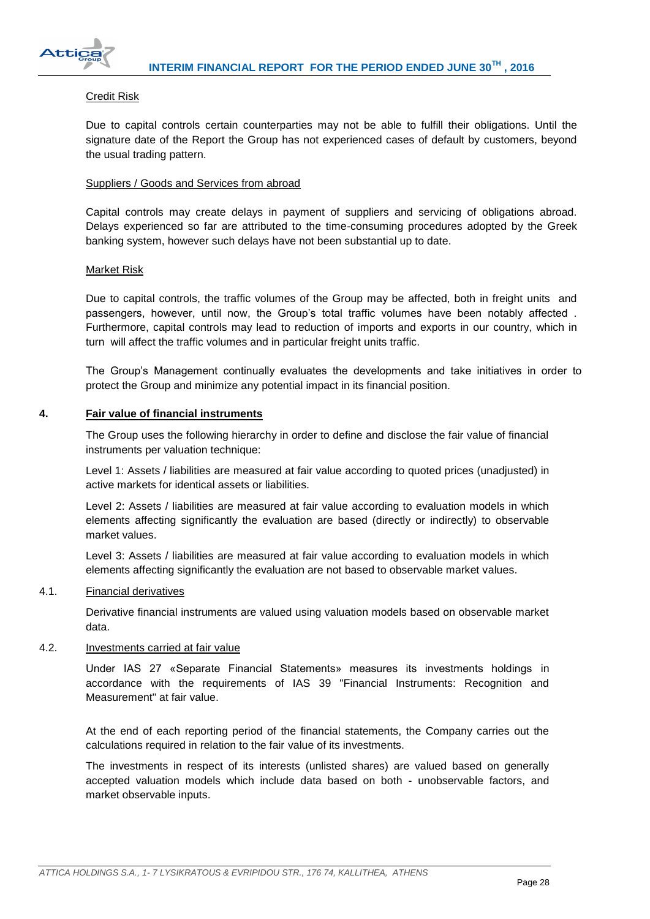

### Credit Risk

Due to capital controls certain counterparties may not be able to fulfill their obligations. Until the signature date of the Report the Group has not experienced cases of default by customers, beyond the usual trading pattern.

### Suppliers / Goods and Services from abroad

Capital controls may create delays in payment of suppliers and servicing of obligations abroad. Delays experienced so far are attributed to the time-consuming procedures adopted by the Greek banking system, however such delays have not been substantial up to date.

#### Market Risk

Due to capital controls, the traffic volumes of the Group may be affected, both in freight units and passengers, however, until now, the Group's total traffic volumes have been notably affected . Furthermore, capital controls may lead to reduction of imports and exports in our country, which in turn will affect the traffic volumes and in particular freight units traffic.

The Group's Management continually evaluates the developments and take initiatives in order to protect the Group and minimize any potential impact in its financial position.

#### <span id="page-28-0"></span>**4. Fair value of financial instruments**

The Group uses the following hierarchy in order to define and disclose the fair value of financial instruments per valuation technique:

Level 1: Assets / liabilities are measured at fair value according to quoted prices (unadjusted) in active markets for identical assets or liabilities.

Level 2: Assets / liabilities are measured at fair value according to evaluation models in which elements affecting significantly the evaluation are based (directly or indirectly) to observable market values.

Level 3: Assets / liabilities are measured at fair value according to evaluation models in which elements affecting significantly the evaluation are not based to observable market values.

## <span id="page-28-1"></span>4.1. Financial derivatives

Derivative financial instruments are valued using valuation models based on observable market data.

#### <span id="page-28-2"></span>4.2. Investments carried at fair value

Under IAS 27 «Separate Financial Statements» measures its investments holdings in accordance with the requirements of IAS 39 "Financial Instruments: Recognition and Measurement" at fair value.

At the end of each reporting period of the financial statements, the Company carries out the calculations required in relation to the fair value of its investments.

The investments in respect of its interests (unlisted shares) are valued based on generally accepted valuation models which include data based on both - unobservable factors, and market observable inputs.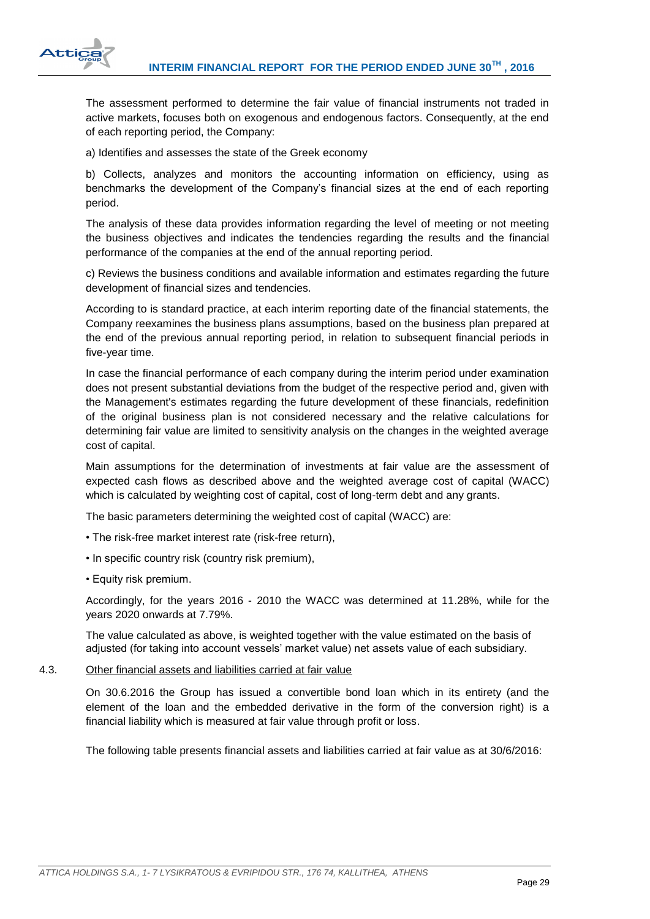

The assessment performed to determine the fair value of financial instruments not traded in active markets, focuses both on exogenous and endogenous factors. Consequently, at the end of each reporting period, the Company:

a) Identifies and assesses the state of the Greek economy

b) Collects, analyzes and monitors the accounting information on efficiency, using as benchmarks the development of the Company's financial sizes at the end of each reporting period.

The analysis of these data provides information regarding the level of meeting or not meeting the business objectives and indicates the tendencies regarding the results and the financial performance of the companies at the end of the annual reporting period.

c) Reviews the business conditions and available information and estimates regarding the future development of financial sizes and tendencies.

According to is standard practice, at each interim reporting date of the financial statements, the Company reexamines the business plans assumptions, based on the business plan prepared at the end of the previous annual reporting period, in relation to subsequent financial periods in five-year time.

In case the financial performance of each company during the interim period under examination does not present substantial deviations from the budget of the respective period and, given with the Management's estimates regarding the future development of these financials, redefinition of the original business plan is not considered necessary and the relative calculations for determining fair value are limited to sensitivity analysis on the changes in the weighted average cost of capital.

Main assumptions for the determination of investments at fair value are the assessment of expected cash flows as described above and the weighted average cost of capital (WACC) which is calculated by weighting cost of capital, cost of long-term debt and any grants.

The basic parameters determining the weighted cost of capital (WACC) are:

- The risk-free market interest rate (risk-free return),
- In specific country risk (country risk premium),
- Equity risk premium.

Accordingly, for the years 2016 - 2010 the WACC was determined at 11.28%, while for the years 2020 onwards at 7.79%.

The value calculated as above, is weighted together with the value estimated on the basis of adjusted (for taking into account vessels' market value) net assets value of each subsidiary.

# <span id="page-29-0"></span>4.3. Other financial assets and liabilities carried at fair value

On 30.6.2016 the Group has issued a convertible bond loan which in its entirety (and the element of the loan and the embedded derivative in the form of the conversion right) is a financial liability which is measured at fair value through profit or loss.

The following table presents financial assets and liabilities carried at fair value as at 30/6/2016: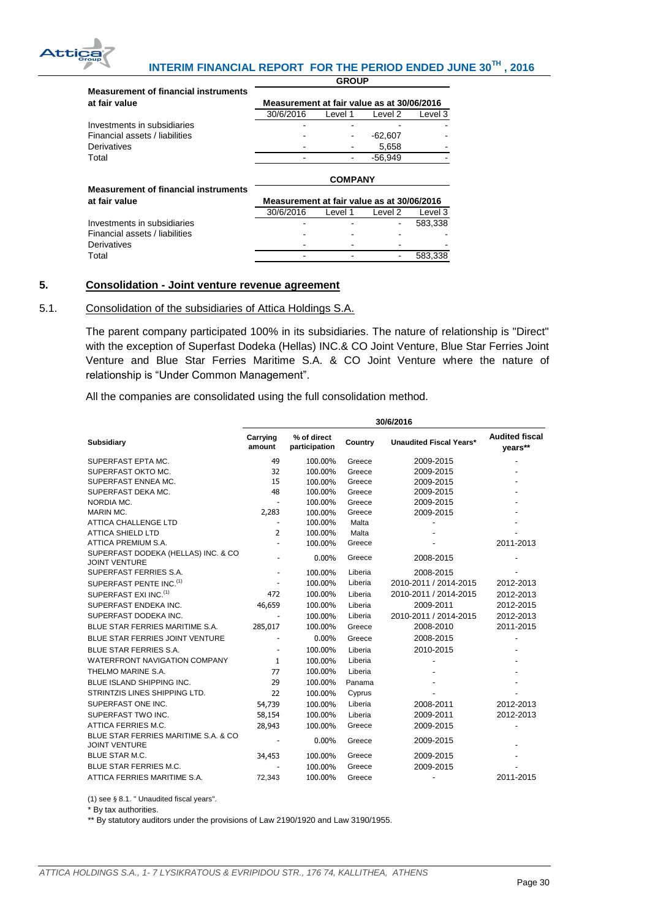

#### **INTERIM FINANCIAL REPORT FOR THE PERIOD ENDED JUNE 30TH , 2016 GROUP**

| <b>Measurement of financial instruments</b><br>at fair value | Measurement at fair value as at 30/06/2016 |         |           |         |
|--------------------------------------------------------------|--------------------------------------------|---------|-----------|---------|
|                                                              | 30/6/2016                                  | Level 1 | Level 2   | Level 3 |
| Investments in subsidiaries                                  |                                            |         |           |         |
| Financial assets / liabilities                               |                                            |         | $-62,607$ |         |
| Derivatives                                                  |                                            |         | 5.658     |         |
| Total                                                        |                                            |         | $-56.949$ |         |
|                                                              | <b>COMPANY</b>                             |         |           |         |
| <b>Measurement of financial instruments</b>                  |                                            |         |           |         |
| at fair value                                                | Measurement at fair value as at 30/06/2016 |         |           |         |
|                                                              | 30/6/2016                                  | Level 1 | Level 2   | Level 3 |
| Investments in subsidiaries                                  |                                            |         |           | 583.338 |
| Financial assets / liabilities                               |                                            |         |           |         |
|                                                              |                                            |         |           |         |
| Derivatives                                                  |                                            |         |           |         |

# <span id="page-30-0"></span>**5. Consolidation - Joint venture revenue agreement**

#### <span id="page-30-1"></span>5.1. Consolidation of the subsidiaries of Attica Holdings S.A.

The parent company participated 100% in its subsidiaries. The nature of relationship is "Direct" with the exception of Superfast Dodeka (Hellas) INC.& CO Joint Venture, Blue Star Ferries Joint Venture and Blue Star Ferries Maritime S.A. & CO Joint Venture where the nature of relationship is "Under Common Management".

All the companies are consolidated using the full consolidation method.

|                                                              | 30/6/2016                |                              |         |                                |                                  |
|--------------------------------------------------------------|--------------------------|------------------------------|---------|--------------------------------|----------------------------------|
| <b>Subsidiary</b>                                            | Carrying<br>amount       | % of direct<br>participation | Country | <b>Unaudited Fiscal Years*</b> | <b>Audited fiscal</b><br>years** |
| SUPERFAST EPTA MC.                                           | 49                       | 100.00%                      | Greece  | 2009-2015                      |                                  |
| SUPERFAST OKTO MC.                                           | 32                       | 100.00%                      | Greece  | 2009-2015                      |                                  |
| SUPERFAST ENNEA MC.                                          | 15                       | 100.00%                      | Greece  | 2009-2015                      |                                  |
| SUPERFAST DEKA MC.                                           | 48                       | 100.00%                      | Greece  | 2009-2015                      |                                  |
| NORDIA MC.                                                   | $\overline{\phantom{a}}$ | 100.00%                      | Greece  | 2009-2015                      |                                  |
| <b>MARIN MC.</b>                                             | 2,283                    | 100.00%                      | Greece  | 2009-2015                      |                                  |
| <b>ATTICA CHALLENGE LTD</b>                                  | $\overline{\phantom{a}}$ | 100.00%                      | Malta   |                                |                                  |
| <b>ATTICA SHIELD LTD</b>                                     | $\overline{2}$           | 100.00%                      | Malta   |                                |                                  |
| ATTICA PREMIUM S.A.                                          | $\overline{\phantom{a}}$ | 100.00%                      | Greece  |                                | 2011-2013                        |
| SUPERFAST DODEKA (HELLAS) INC. & CO<br><b>JOINT VENTURE</b>  |                          | 0.00%                        | Greece  | 2008-2015                      |                                  |
| SUPERFAST FERRIES S.A.                                       | $\overline{\phantom{a}}$ | 100.00%                      | Liberia | 2008-2015                      |                                  |
| SUPERFAST PENTE INC. <sup>(1)</sup>                          | ٠                        | 100.00%                      | Liberia | 2010-2011 / 2014-2015          | 2012-2013                        |
| SUPERFAST EXI INC. <sup>(1)</sup>                            | 472                      | 100.00%                      | Liberia | 2010-2011 / 2014-2015          | 2012-2013                        |
| SUPERFAST ENDEKA INC.                                        | 46,659                   | 100.00%                      | Liberia | 2009-2011                      | 2012-2015                        |
| SUPERFAST DODEKA INC.                                        | $\overline{\phantom{a}}$ | 100.00%                      | Liberia | 2010-2011 / 2014-2015          | 2012-2013                        |
| BLUE STAR FERRIES MARITIME S.A.                              | 285,017                  | 100.00%                      | Greece  | 2008-2010                      | 2011-2015                        |
| BLUE STAR FERRIES JOINT VENTURE                              |                          | $0.00\%$                     | Greece  | 2008-2015                      |                                  |
| <b>BLUE STAR FERRIES S.A.</b>                                | $\overline{\phantom{a}}$ | 100.00%                      | Liberia | 2010-2015                      |                                  |
| WATERFRONT NAVIGATION COMPANY                                | $\mathbf{1}$             | 100.00%                      | Liberia |                                |                                  |
| THELMO MARINE S.A.                                           | 77                       | 100.00%                      | Liberia |                                |                                  |
| BLUE ISLAND SHIPPING INC.                                    | 29                       | 100.00%                      | Panama  |                                |                                  |
| STRINTZIS LINES SHIPPING LTD.                                | 22                       | 100.00%                      | Cyprus  |                                |                                  |
| SUPERFAST ONE INC.                                           | 54,739                   | 100.00%                      | Liberia | 2008-2011                      | 2012-2013                        |
| SUPERFAST TWO INC.                                           | 58,154                   | 100.00%                      | Liberia | 2009-2011                      | 2012-2013                        |
| ATTICA FERRIES M.C.                                          | 28,943                   | 100.00%                      | Greece  | 2009-2015                      |                                  |
| BLUE STAR FERRIES MARITIME S.A. & CO<br><b>JOINT VENTURE</b> |                          | $0.00\%$                     | Greece  | 2009-2015                      |                                  |
| <b>BLUE STAR M.C.</b>                                        | 34,453                   | 100.00%                      | Greece  | 2009-2015                      |                                  |
| <b>BLUE STAR FERRIES M.C.</b>                                |                          | 100.00%                      | Greece  | 2009-2015                      |                                  |
| ATTICA FERRIES MARITIME S.A.                                 | 72,343                   | 100.00%                      | Greece  | $\overline{\phantom{a}}$       | 2011-2015                        |

(1) see § 8.1. " Unaudited fiscal years".

\* By tax authorities.

\*\* By statutory auditors under the provisions of Law 2190/1920 and Law 3190/1955.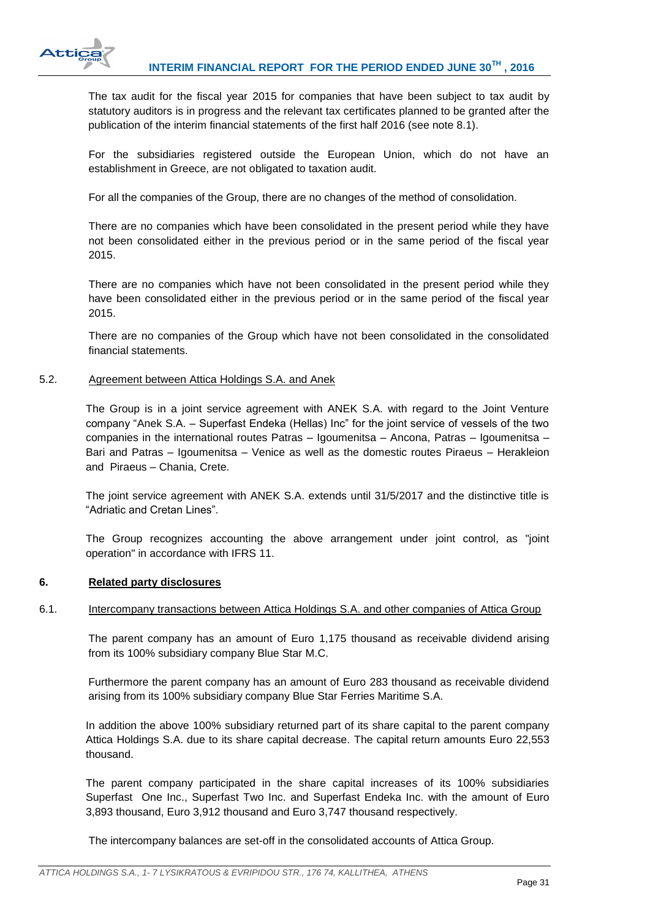

The tax audit for the fiscal year 2015 for companies that have been subject to tax audit by statutory auditors is in progress and the relevant tax certificates planned to be granted after the publication of the interim financial statements of the first half 2016 (see note 8.1).

For the subsidiaries registered outside the European Union, which do not have an establishment in Greece, are not obligated to taxation audit.

For all the companies of the Group, there are no changes of the method of consolidation.

There are no companies which have been consolidated in the present period while they have not been consolidated either in the previous period or in the same period of the fiscal year 2015.

There are no companies which have not been consolidated in the present period while they have been consolidated either in the previous period or in the same period of the fiscal year 2015.

There are no companies of the Group which have not been consolidated in the consolidated financial statements.

#### <span id="page-31-0"></span>5.2. Agreement between Attica Holdings S.A. and Anek

The Group is in a joint service agreement with ANEK S.A. with regard to the Joint Venture company "Anek S.A. – Superfast Endeka (Hellas) Inc" for the joint service of vessels of the two companies in the international routes Patras – Igoumenitsa – Ancona, Patras – Igoumenitsa – Bari and Patras – Igoumenitsa – Venice as well as the domestic routes Piraeus – Herakleion and Piraeus – Chania, Crete.

The joint service agreement with ANEK S.A. extends until 31/5/2017 and the distinctive title is "Adriatic and Cretan Lines".

The Group recognizes accounting the above arrangement under joint control, as "joint operation" in accordance with IFRS 11.

#### <span id="page-31-1"></span>**6. Related party disclosures**

#### <span id="page-31-2"></span>6.1. Intercompany transactions between Attica Holdings S.A. and other companies of Attica Group

The parent company has an amount of Euro 1,175 thousand as receivable dividend arising from its 100% subsidiary company Blue Star M.C.

Furthermore the parent company has an amount of Euro 283 thousand as receivable dividend arising from its 100% subsidiary company Blue Star Ferries Maritime S.A.

In addition the above 100% subsidiary returned part of its share capital to the parent company Attica Holdings S.A. due to its share capital decrease. The capital return amounts Euro 22,553 thousand.

The parent company participated in the share capital increases of its 100% subsidiaries Superfast One Inc., Superfast Two Inc. and Superfast Endeka Inc. with the amount of Euro 3,893 thousand, Euro 3,912 thousand and Euro 3,747 thousand respectively.

The intercompany balances are set-off in the consolidated accounts of Attica Group.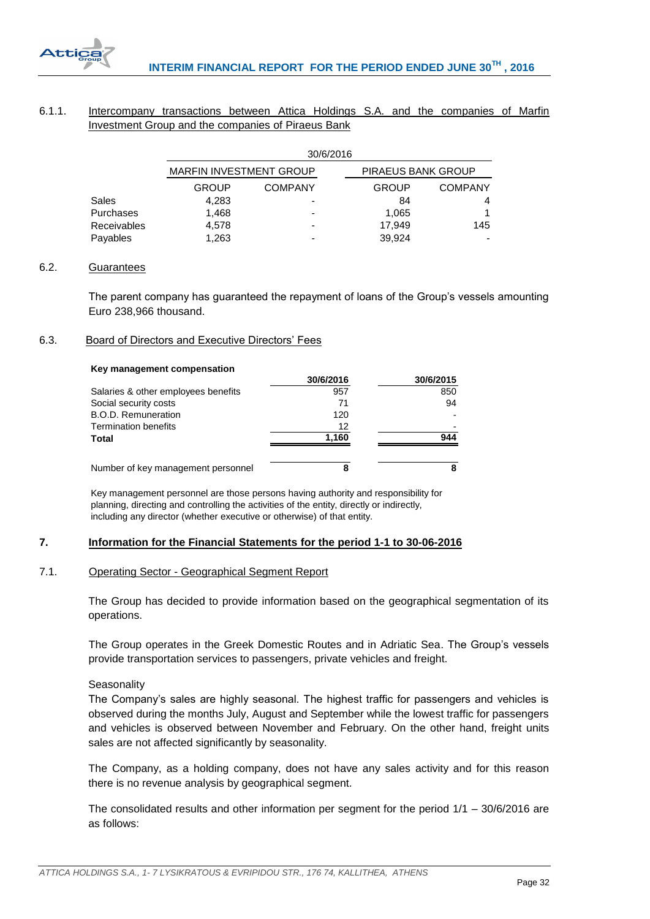

# <span id="page-32-0"></span>6.1.1. Intercompany transactions between Attica Holdings S.A. and the companies of Marfin Investment Group and the companies of Piraeus Bank

|             | 30/6/2016               |                          |                           |                |  |  |
|-------------|-------------------------|--------------------------|---------------------------|----------------|--|--|
|             | MARFIN INVESTMENT GROUP |                          | <b>PIRAEUS BANK GROUP</b> |                |  |  |
|             | GROUP                   | <b>COMPANY</b>           | <b>GROUP</b>              | <b>COMPANY</b> |  |  |
| Sales       | 4,283                   |                          | 84                        |                |  |  |
| Purchases   | 1.468                   | $\overline{\phantom{a}}$ | 1.065                     |                |  |  |
| Receivables | 4.578                   |                          | 17.949                    | 145            |  |  |
| Payables    | 1,263                   |                          | 39,924                    |                |  |  |

## <span id="page-32-1"></span>6.2. Guarantees

The parent company has guaranteed the repayment of loans of the Group's vessels amounting Euro 238,966 thousand.

# <span id="page-32-2"></span>6.3. Board of Directors and Executive Directors' Fees

#### **Key management compensation**

|                                     | 30/6/2016 | 30/6/2015 |
|-------------------------------------|-----------|-----------|
| Salaries & other employees benefits | 957       | 850       |
| Social security costs               | 71        | 94        |
| B.O.D. Remuneration                 | 120       |           |
| <b>Termination benefits</b>         | 12        |           |
| Total                               | 1,160     | 944       |
| Number of key management personnel  | 8         |           |

Key management personnel are those persons having authority and responsibility for planning, directing and controlling the activities of the entity, directly or indirectly, including any director (whether executive or otherwise) of that entity.

# <span id="page-32-3"></span>**7. Information for the Financial Statements for the period 1-1 to 30-06-2016**

#### <span id="page-32-4"></span>7.1. Operating Sector - Geographical Segment Report

The Group has decided to provide information based on the geographical segmentation of its operations.

The Group operates in the Greek Domestic Routes and in Adriatic Sea. The Group's vessels provide transportation services to passengers, private vehicles and freight.

#### **Seasonality**

The Company's sales are highly seasonal. The highest traffic for passengers and vehicles is observed during the months July, August and September while the lowest traffic for passengers and vehicles is observed between November and February. On the other hand, freight units sales are not affected significantly by seasonality.

The Company, as a holding company, does not have any sales activity and for this reason there is no revenue analysis by geographical segment.

The consolidated results and other information per segment for the period  $1/1 - 30/6/2016$  are as follows: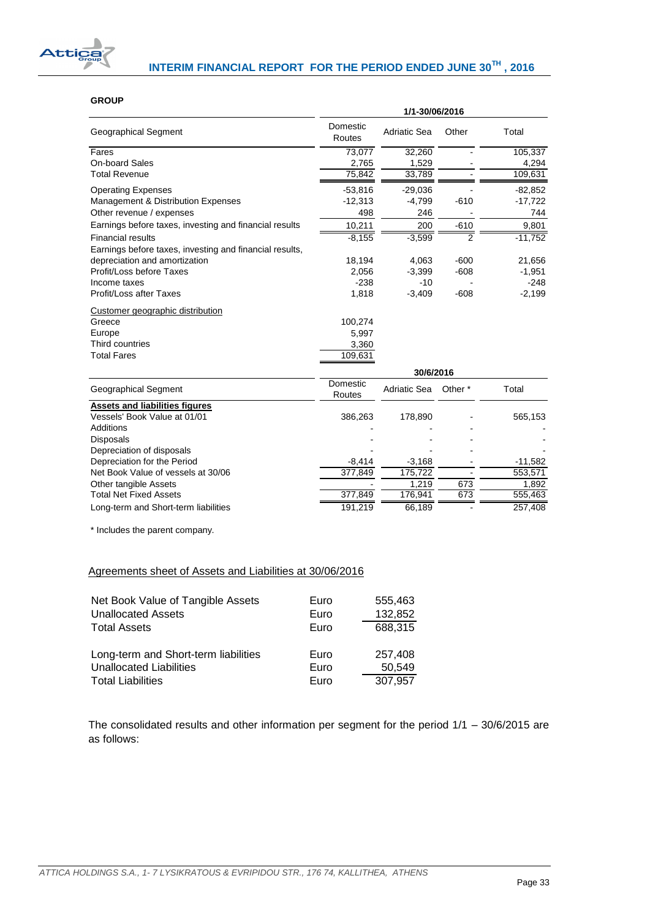

#### **GROUP**

|                                                         | 1/1-30/06/2016     |                     |         |           |
|---------------------------------------------------------|--------------------|---------------------|---------|-----------|
| Geographical Segment                                    | Domestic<br>Routes | <b>Adriatic Sea</b> | Other   | Total     |
| Fares                                                   | 73,077             | 32,260              |         | 105,337   |
| On-board Sales                                          | 2,765              | 1,529               |         | 4,294     |
| <b>Total Revenue</b>                                    | 75,842             | 33,789              |         | 109,631   |
| <b>Operating Expenses</b>                               | $-53,816$          | $-29,036$           |         | $-82,852$ |
| Management & Distribution Expenses                      | $-12,313$          | $-4,799$            | $-610$  | $-17,722$ |
| Other revenue / expenses                                | 498                | 246                 |         | 744       |
| Earnings before taxes, investing and financial results  | 10,211             | 200                 | $-610$  | 9,801     |
| <b>Financial results</b>                                | $-8,155$           | $-3,599$            | 2       | $-11,752$ |
| Earnings before taxes, investing and financial results, |                    |                     |         |           |
| depreciation and amortization                           | 18,194             | 4,063               | $-600$  | 21,656    |
| Profit/Loss before Taxes                                | 2,056              | $-3,399$            | $-608$  | $-1,951$  |
| Income taxes                                            | $-238$             | $-10$               |         | $-248$    |
| Profit/Loss after Taxes                                 | 1,818              | $-3,409$            | $-608$  | $-2,199$  |
| Customer geographic distribution                        |                    |                     |         |           |
| Greece                                                  | 100,274            |                     |         |           |
| Europe                                                  | 5,997              |                     |         |           |
| Third countries                                         | 3,360              |                     |         |           |
| <b>Total Fares</b>                                      | 109,631            |                     |         |           |
|                                                         |                    | 30/6/2016           |         |           |
| Geographical Segment                                    | Domestic           | Adriatic Sea        | Other * | Total     |
|                                                         | Routes             |                     |         |           |
| <b>Assets and liabilities figures</b>                   |                    |                     |         |           |
| Vessels' Book Value at 01/01                            | 386,263            | 178,890             |         | 565,153   |
| <b>Additions</b>                                        |                    |                     |         |           |
| <b>Disposals</b>                                        |                    |                     |         |           |
| Depreciation of disposals                               |                    |                     |         |           |
| Depreciation for the Period                             | $-8,414$           | $-3,168$            |         | $-11,582$ |
| Net Book Value of vessels at 30/06                      | 377,849            | 175,722             |         | 553,571   |
| Other tangible Assets                                   |                    | 1,219               | 673     | 1,892     |
| <b>Total Net Fixed Assets</b>                           | 377,849            | 176,941             | 673     | 555,463   |

Long-term and Short-term liabilities 191,219 66,189 - 257,408

\* Includes the parent company.

# Agreements sheet of Assets and Liabilities at 30/06/2016

| Net Book Value of Tangible Assets<br><b>Unallocated Assets</b> | Euro<br>Euro | 555,463<br>132,852 |
|----------------------------------------------------------------|--------------|--------------------|
| <b>Total Assets</b>                                            | Euro         | 688,315            |
| Long-term and Short-term liabilities                           | Euro         | 257,408            |
| <b>Unallocated Liabilities</b>                                 | Euro         | 50.549             |
| <b>Total Liabilities</b>                                       | Euro         | 307,957            |

The consolidated results and other information per segment for the period 1/1 – 30/6/2015 are as follows: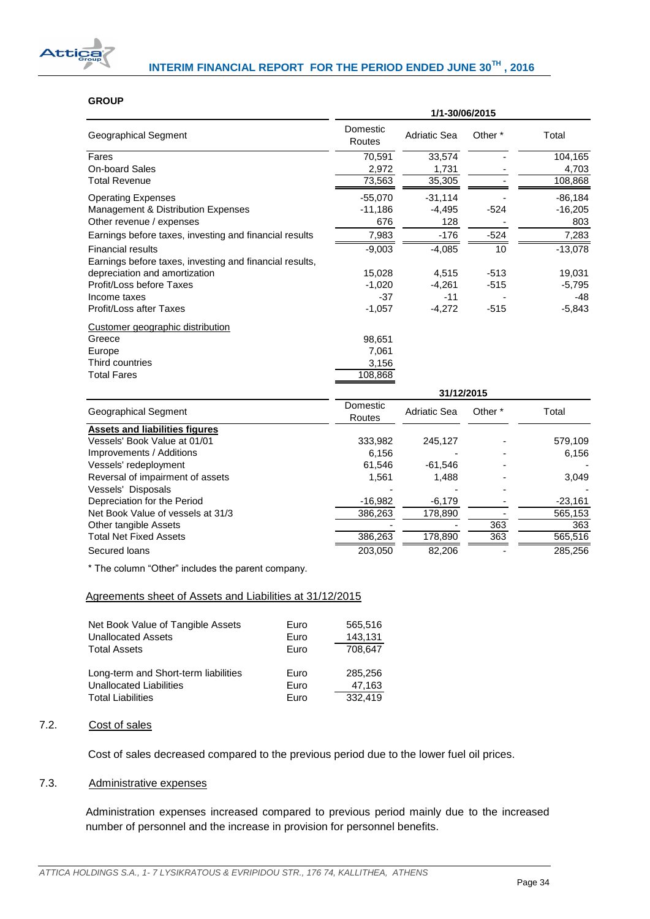

## **GROUP**

|                                                         | 1/1-30/06/2015     |                     |                    |           |  |
|---------------------------------------------------------|--------------------|---------------------|--------------------|-----------|--|
| <b>Geographical Segment</b>                             | Domestic<br>Routes | <b>Adriatic Sea</b> | Other <sup>*</sup> | Total     |  |
| Fares                                                   | 70,591             | 33,574              |                    | 104,165   |  |
| <b>On-board Sales</b>                                   | 2,972              | 1,731               |                    | 4,703     |  |
| <b>Total Revenue</b>                                    | 73,563             | 35,305              |                    | 108,868   |  |
| <b>Operating Expenses</b>                               | $-55,070$          | $-31,114$           |                    | $-86,184$ |  |
| Management & Distribution Expenses                      | $-11,186$          | $-4,495$            | $-524$             | $-16,205$ |  |
| Other revenue / expenses                                | 676                | 128                 |                    | 803       |  |
| Earnings before taxes, investing and financial results  | 7,983              | $-176$              | $-524$             | 7,283     |  |
| <b>Financial results</b>                                | $-9,003$           | $-4,085$            | 10                 | $-13,078$ |  |
| Earnings before taxes, investing and financial results, |                    |                     |                    |           |  |
| depreciation and amortization                           | 15,028             | 4,515               | $-513$             | 19,031    |  |
| Profit/Loss before Taxes                                | $-1,020$           | $-4,261$            | $-515$             | $-5,795$  |  |
| Income taxes                                            | $-37$              | $-11$               |                    | $-48$     |  |
| Profit/Loss after Taxes                                 | $-1,057$           | $-4,272$            | $-515$             | $-5,843$  |  |
| Customer geographic distribution                        |                    |                     |                    |           |  |
| Greece                                                  | 98,651             |                     |                    |           |  |
| Europe                                                  | 7,061              |                     |                    |           |  |
| Third countries                                         | 3,156              |                     |                    |           |  |
| <b>Total Fares</b>                                      | 108,868            |                     |                    |           |  |
|                                                         |                    | 31/12/2015          |                    |           |  |
| <b>Geographical Segment</b>                             | Domestic<br>Routes | <b>Adriatic Sea</b> | Other <sup>*</sup> | Total     |  |
| <b>Assets and liabilities figures</b>                   |                    |                     |                    |           |  |
| Vessels' Book Value at 01/01                            | 333,982            | 245,127             |                    | 579,109   |  |
| Improvements / Additions                                | 6,156              |                     |                    | 6,156     |  |
| Vessels' redeployment                                   | 61,546             | $-61,546$           |                    |           |  |
| Reversal of impairment of assets                        | 1,561              | 1,488               |                    | 3,049     |  |
| Vessels' Disposals                                      |                    |                     |                    |           |  |
| Depreciation for the Period                             | $-16,982$          | $-6,179$            |                    | $-23,161$ |  |
| Net Book Value of vessels at 31/3                       | 386,263            | 178,890             |                    | 565,153   |  |
| Other tangible Assets                                   |                    |                     | 363                | 363       |  |
| <b>Total Net Fixed Assets</b>                           | 386,263            | 178,890             | 363                | 565,516   |  |
| Secured loans                                           | 203,050            | 82,206              |                    | 285,256   |  |

\* The column "Other" includes the parent company.

## Agreements sheet of Assets and Liabilities at 31/12/2015

| Net Book Value of Tangible Assets<br><b>Unallocated Assets</b> | Euro<br>Euro | 565,516<br>143,131 |
|----------------------------------------------------------------|--------------|--------------------|
| <b>Total Assets</b>                                            | Euro         | 708,647            |
| Long-term and Short-term liabilities                           | Euro         | 285,256            |
| Unallocated Liabilities                                        | Euro         | 47,163             |
| <b>Total Liabilities</b>                                       | Euro         | 332.419            |

## <span id="page-34-0"></span>7.2. Cost of sales

Cost of sales decreased compared to the previous period due to the lower fuel oil prices.

# <span id="page-34-1"></span>7.3. Administrative expenses

Administration expenses increased compared to previous period mainly due to the increased number of personnel and the increase in provision for personnel benefits.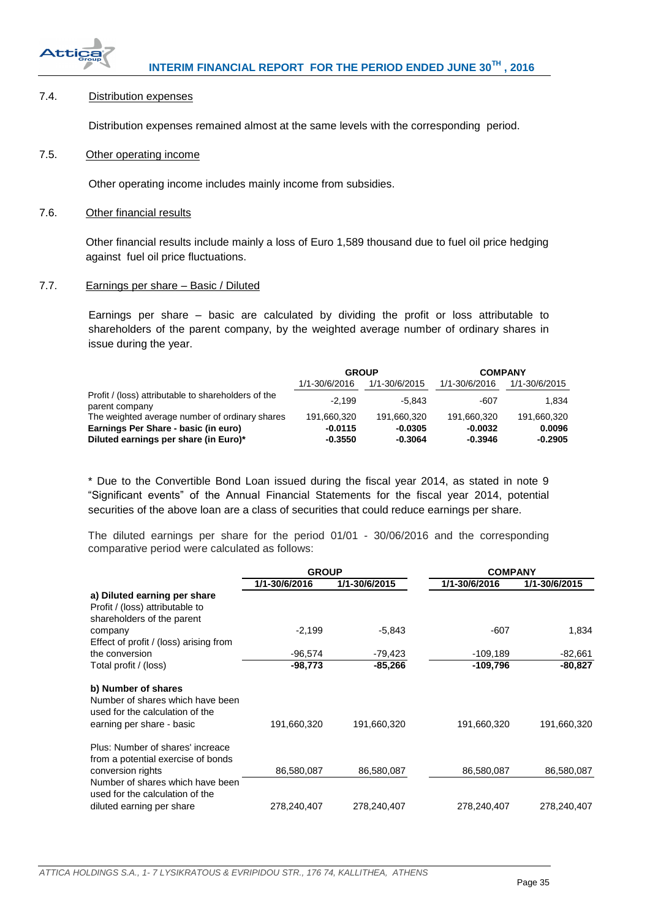

# <span id="page-35-0"></span>7.4. Distribution expenses

Distribution expenses remained almost at the same levels with the corresponding period.

#### <span id="page-35-1"></span>7.5. Other operating income

Other operating income includes mainly income from subsidies.

### <span id="page-35-2"></span>7.6. Other financial results

Other financial results include mainly a loss of Euro 1,589 thousand due to fuel oil price hedging against fuel oil price fluctuations.

#### <span id="page-35-3"></span>7.7. Earnings per share – Basic / Diluted

Earnings per share – basic are calculated by dividing the profit or loss attributable to shareholders of the parent company, by the weighted average number of ordinary shares in issue during the year.

|                                                                       | <b>GROUP</b>  |               | <b>COMPANY</b> |               |
|-----------------------------------------------------------------------|---------------|---------------|----------------|---------------|
|                                                                       | 1/1-30/6/2016 | 1/1-30/6/2015 | 1/1-30/6/2016  | 1/1-30/6/2015 |
| Profit / (loss) attributable to shareholders of the<br>parent company | $-2.199$      | $-5.843$      | -607           | 1.834         |
| The weighted average number of ordinary shares                        | 191.660.320   | 191.660.320   | 191.660.320    | 191.660.320   |
| Earnings Per Share - basic (in euro)                                  | $-0.0115$     | $-0.0305$     | $-0.0032$      | 0.0096        |
| Diluted earnings per share (in Euro)*                                 | $-0.3550$     | $-0.3064$     | $-0.3946$      | $-0.2905$     |

\* Due to the Convertible Bond Loan issued during the fiscal year 2014, as stated in note 9 "Significant events" of the Annual Financial Statements for the fiscal year 2014, potential securities of the above loan are a class of securities that could reduce earnings per share.

The diluted earnings per share for the period 01/01 - 30/06/2016 and the corresponding comparative period were calculated as follows:

|                                                                                                                         | <b>GROUP</b>  |               |               | <b>COMPANY</b> |  |
|-------------------------------------------------------------------------------------------------------------------------|---------------|---------------|---------------|----------------|--|
|                                                                                                                         | 1/1-30/6/2016 | 1/1-30/6/2015 | 1/1-30/6/2016 | 1/1-30/6/2015  |  |
| a) Diluted earning per share<br>Profit / (loss) attributable to<br>shareholders of the parent                           |               |               |               |                |  |
| company<br>Effect of profit / (loss) arising from                                                                       | $-2,199$      | $-5,843$      | -607          | 1,834          |  |
| the conversion                                                                                                          | $-96,574$     | -79,423       | $-109,189$    | $-82,661$      |  |
| Total profit / (loss)                                                                                                   | $-98,773$     | $-85,266$     | $-109,796$    | $-80,827$      |  |
| b) Number of shares<br>Number of shares which have been<br>used for the calculation of the<br>earning per share - basic | 191,660,320   | 191,660,320   | 191,660,320   | 191,660,320    |  |
| Plus: Number of shares' increace<br>from a potential exercise of bonds<br>conversion rights                             | 86,580,087    | 86,580,087    | 86,580,087    | 86,580,087     |  |
| Number of shares which have been<br>used for the calculation of the<br>diluted earning per share                        | 278,240,407   | 278,240,407   | 278,240,407   | 278,240,407    |  |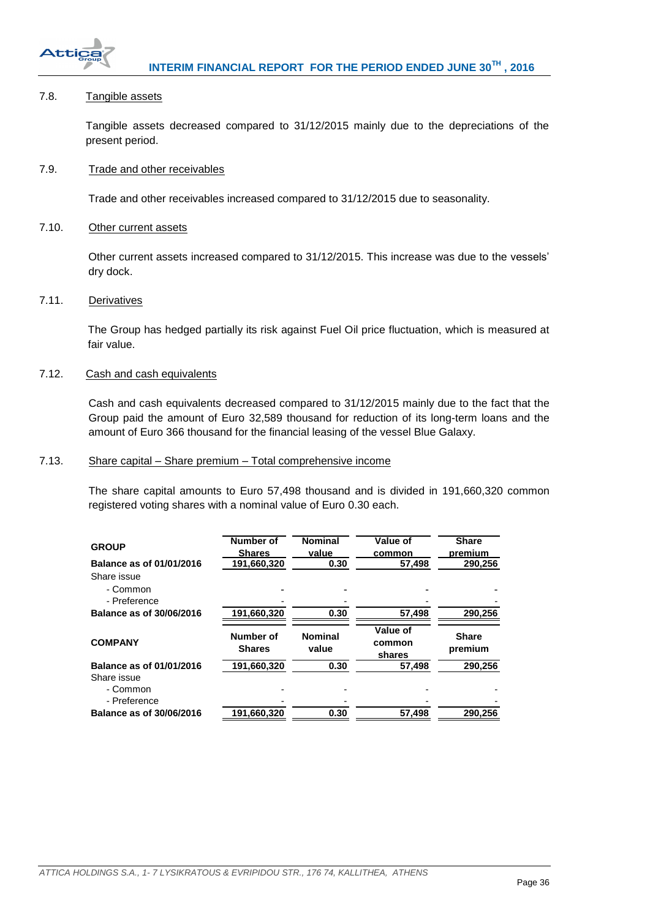

# <span id="page-36-0"></span>7.8. Tangible assets

Tangible assets decreased compared to 31/12/2015 mainly due to the depreciations of the present period.

# <span id="page-36-1"></span>7.9. Trade and other receivables

Trade and other receivables increased compared to 31/12/2015 due to seasonality.

# <span id="page-36-2"></span>7.10. Other current assets

Other current assets increased compared to 31/12/2015. This increase was due to the vessels' dry dock.

#### <span id="page-36-3"></span>7.11. Derivatives

The Group has hedged partially its risk against Fuel Oil price fluctuation, which is measured at fair value.

## <span id="page-36-4"></span>7.12. Cash and cash equivalents

Cash and cash equivalents decreased compared to 31/12/2015 mainly due to the fact that the Group paid the amount of Euro 32,589 thousand for reduction of its long-term loans and the amount of Euro 366 thousand for the financial leasing of the vessel Blue Galaxy.

# <span id="page-36-5"></span>7.13. Share capital – Share premium – Total comprehensive income

The share capital amounts to Euro 57,498 thousand and is divided in 191,660,320 common registered voting shares with a nominal value of Euro 0.30 each.

| <b>GROUP</b><br>Balance as of 01/01/2016 | <b>Number of</b><br><b>Shares</b><br>191,660,320 | <b>Nominal</b><br>value<br>0.30 | Value of<br>common<br>57,498 | <b>Share</b><br>premium<br>290,256 |
|------------------------------------------|--------------------------------------------------|---------------------------------|------------------------------|------------------------------------|
| Share issue                              |                                                  |                                 |                              |                                    |
| - Common                                 |                                                  |                                 |                              |                                    |
| - Preference                             |                                                  |                                 |                              |                                    |
| <b>Balance as of 30/06/2016</b>          | 191,660,320                                      | 0.30                            | 57,498                       | 290.256                            |
| <b>COMPANY</b>                           | Number of<br><b>Shares</b>                       | <b>Nominal</b><br>value         | Value of<br>common<br>shares | <b>Share</b><br>premium            |
| Balance as of 01/01/2016                 | 191,660,320                                      | 0.30                            | 57.498                       | 290.256                            |
| Share issue<br>- Common                  |                                                  |                                 |                              |                                    |
| - Preference                             |                                                  |                                 |                              |                                    |
| Balance as of 30/06/2016                 | 191,660,320                                      | 0.30                            | 57,498                       | 290.256                            |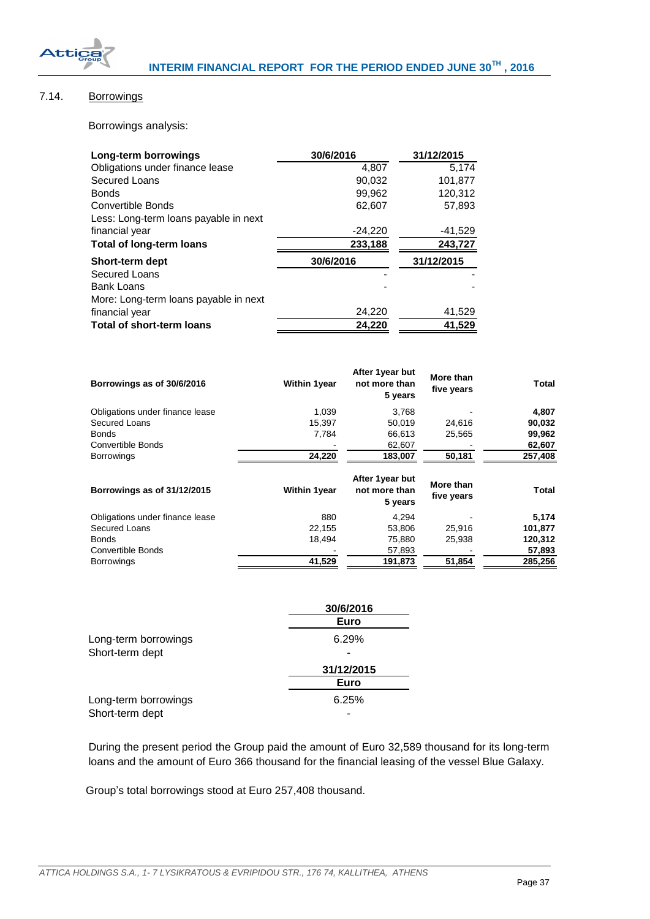

# <span id="page-37-0"></span>7.14. Borrowings

Borrowings analysis:

| Long-term borrowings                  | 30/6/2016 | 31/12/2015 |
|---------------------------------------|-----------|------------|
| Obligations under finance lease       | 4.807     | 5.174      |
| Secured Loans                         | 90,032    | 101,877    |
| <b>Bonds</b>                          | 99,962    | 120,312    |
| Convertible Bonds                     | 62,607    | 57,893     |
| Less: Long-term loans payable in next |           |            |
| financial year                        | $-24,220$ | -41,529    |
| <b>Total of long-term loans</b>       | 233,188   | 243,727    |
| <b>Short-term dept</b>                | 30/6/2016 | 31/12/2015 |
| Secured Loans                         |           |            |
| <b>Bank Loans</b>                     |           |            |
| More: Long-term loans payable in next |           |            |
| financial year                        | 24,220    | 41,529     |
| <b>Total of short-term loans</b>      | 24,220    | 41.529     |

| Borrowings as of 30/6/2016      | <b>Within 1year</b> | After 1year but<br>not more than<br>5 years | More than<br>five years | <b>Total</b> |
|---------------------------------|---------------------|---------------------------------------------|-------------------------|--------------|
| Obligations under finance lease | 1,039               | 3,768                                       |                         | 4,807        |
| Secured Loans                   | 15.397              | 50.019                                      | 24,616                  | 90,032       |
| <b>Bonds</b>                    | 7,784               | 66,613                                      | 25,565                  | 99,962       |
| <b>Convertible Bonds</b>        |                     | 62,607                                      |                         | 62,607       |
| <b>Borrowings</b>               | 24,220              | 183,007                                     | 50,181                  | 257,408      |
| Borrowings as of 31/12/2015     | <b>Within 1year</b> | After 1year but<br>not more than<br>5 years | More than<br>five years | <b>Total</b> |
| Obligations under finance lease | 880                 | 4,294                                       |                         | 5,174        |
| Secured Loans                   | 22,155              | 53,806                                      | 25,916                  | 101,877      |
| <b>Bonds</b>                    | 18,494              | 75,880                                      | 25,938                  | 120,312      |
| <b>Convertible Bonds</b>        |                     | 57,893                                      |                         | 57,893       |
| <b>Borrowings</b>               | 41,529              | 191,873                                     | 51,854                  | 285,256      |

|                      | 30/6/2016  |
|----------------------|------------|
|                      | Euro       |
| Long-term borrowings | 6.29%      |
| Short-term dept      |            |
|                      | 31/12/2015 |
|                      | Euro       |
| Long-term borrowings | 6.25%      |
| Short-term dept      |            |

During the present period the Group paid the amount of Euro 32,589 thousand for its long-term loans and the amount of Euro 366 thousand for the financial leasing of the vessel Blue Galaxy.

Group's total borrowings stood at Euro 257,408 thousand.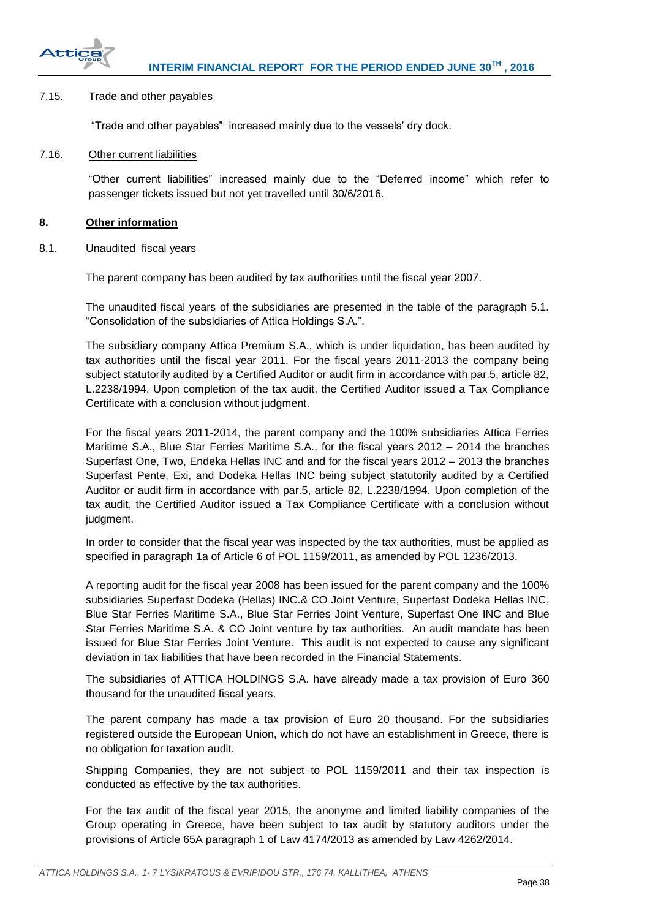

#### <span id="page-38-0"></span>7.15. Trade and other payables

"Trade and other payables" increased mainly due to the vessels' dry dock.

### <span id="page-38-1"></span>7.16. Other current liabilities

"Other current liabilities" increased mainly due to the "Deferred income" which refer to passenger tickets issued but not yet travelled until 30/6/2016.

## <span id="page-38-2"></span>**8. Other information**

<span id="page-38-3"></span>8.1. Unaudited fiscal years

The parent company has been audited by tax authorities until the fiscal year 2007.

The unaudited fiscal years of the subsidiaries are presented in the table of the paragraph 5.1. "Consolidation of the subsidiaries of Attica Holdings S.A.".

The subsidiary company Attica Premium S.A., which is under liquidation, has been audited by tax authorities until the fiscal year 2011. For the fiscal years 2011-2013 the company being subject statutorily audited by a Certified Auditor or audit firm in accordance with par.5, article 82, L.2238/1994. Upon completion of the tax audit, the Certified Auditor issued a Tax Compliance Certificate with a conclusion without judgment.

For the fiscal years 2011-2014, the parent company and the 100% subsidiaries Attica Ferries Maritime S.A., Blue Star Ferries Maritime S.A., for the fiscal years 2012 – 2014 the branches Superfast One, Two, Endeka Hellas INC and and for the fiscal years 2012 – 2013 the branches Superfast Pente, Exi, and Dodeka Hellas INC being subject statutorily audited by a Certified Auditor or audit firm in accordance with par.5, article 82, L.2238/1994. Upon completion of the tax audit, the Certified Auditor issued a Tax Compliance Certificate with a conclusion without judgment.

In order to consider that the fiscal year was inspected by the tax authorities, must be applied as specified in paragraph 1a of Article 6 of POL 1159/2011, as amended by POL 1236/2013.

A reporting audit for the fiscal year 2008 has been issued for the parent company and the 100% subsidiaries Superfast Dodeka (Hellas) INC.& CO Joint Venture, Superfast Dodeka Hellas INC, Blue Star Ferries Maritime S.A., Blue Star Ferries Joint Venture, Superfast One INC and Blue Star Ferries Maritime S.A. & CO Joint venture by tax authorities. An audit mandate has been issued for Blue Star Ferries Joint Venture. This audit is not expected to cause any significant deviation in tax liabilities that have been recorded in the Financial Statements.

The subsidiaries of ATTICA HOLDINGS S.A. have already made a tax provision of Euro 360 thousand for the unaudited fiscal years.

The parent company has made a tax provision of Euro 20 thousand. For the subsidiaries registered outside the European Union, which do not have an establishment in Greece, there is no obligation for taxation audit.

Shipping Companies, they are not subject to POL 1159/2011 and their tax inspection is conducted as effective by the tax authorities.

For the tax audit of the fiscal year 2015, the anonyme and limited liability companies of the Group operating in Greece, have been subject to tax audit by statutory auditors under the provisions of Article 65A paragraph 1 of Law 4174/2013 as amended by Law 4262/2014.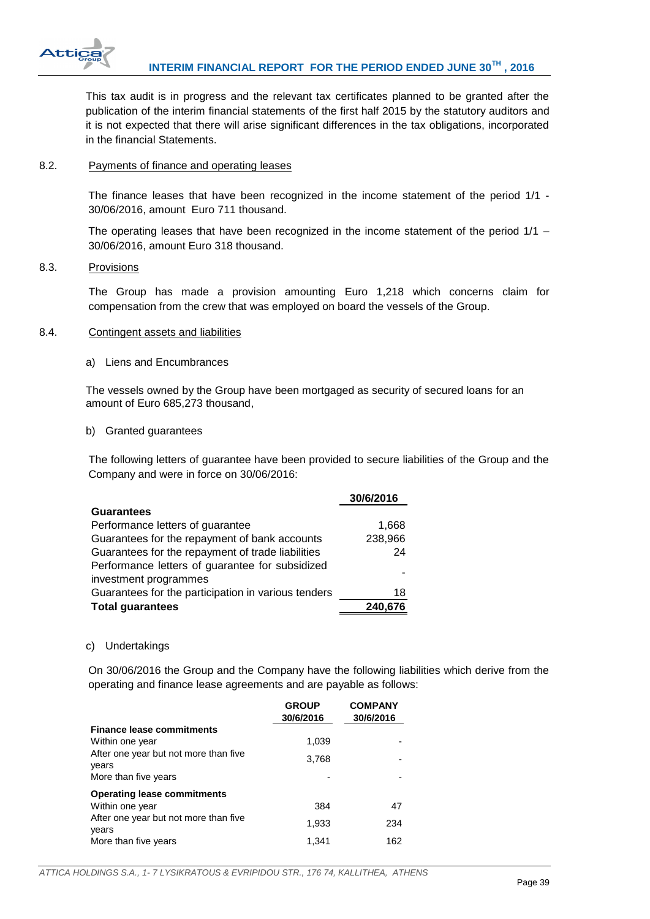

This tax audit is in progress and the relevant tax certificates planned to be granted after the publication of the interim financial statements of the first half 2015 by the statutory auditors and it is not expected that there will arise significant differences in the tax obligations, incorporated in the financial Statements.

# <span id="page-39-0"></span>8.2. Payments of finance and operating leases

The finance leases that have been recognized in the income statement of the period 1/1 - 30/06/2016, amount Euro 711 thousand.

The operating leases that have been recognized in the income statement of the period 1/1 – 30/06/2016, amount Euro 318 thousand.

## <span id="page-39-1"></span>8.3. Provisions

The Group has made a provision amounting Euro 1,218 which concerns claim for compensation from the crew that was employed on board the vessels of the Group.

#### <span id="page-39-2"></span>8.4. Contingent assets and liabilities

a) Liens and Encumbrances

The vessels owned by the Group have been mortgaged as security of secured loans for an amount of Euro 685,273 thousand,

#### b) Granted guarantees

The following letters of guarantee have been provided to secure liabilities of the Group and the Company and were in force on 30/06/2016:

| 30/6/2016 |
|-----------|
|           |
| 1,668     |
| 238,966   |
| 24        |
|           |
|           |
| 18        |
| 240,676   |
|           |

#### c) Undertakings

On 30/06/2016 the Group and the Company have the following liabilities which derive from the operating and finance lease agreements and are payable as follows:

|                                                | <b>GROUP</b><br>30/6/2016 | <b>COMPANY</b><br>30/6/2016 |
|------------------------------------------------|---------------------------|-----------------------------|
| <b>Finance lease commitments</b>               |                           |                             |
| Within one year                                | 1,039                     |                             |
| After one year but not more than five<br>years | 3,768                     |                             |
| More than five years                           |                           |                             |
| <b>Operating lease commitments</b>             |                           |                             |
| Within one year                                | 384                       | 47                          |
| After one year but not more than five<br>years | 1,933                     | 234                         |
| More than five years                           | 1.341                     | 162                         |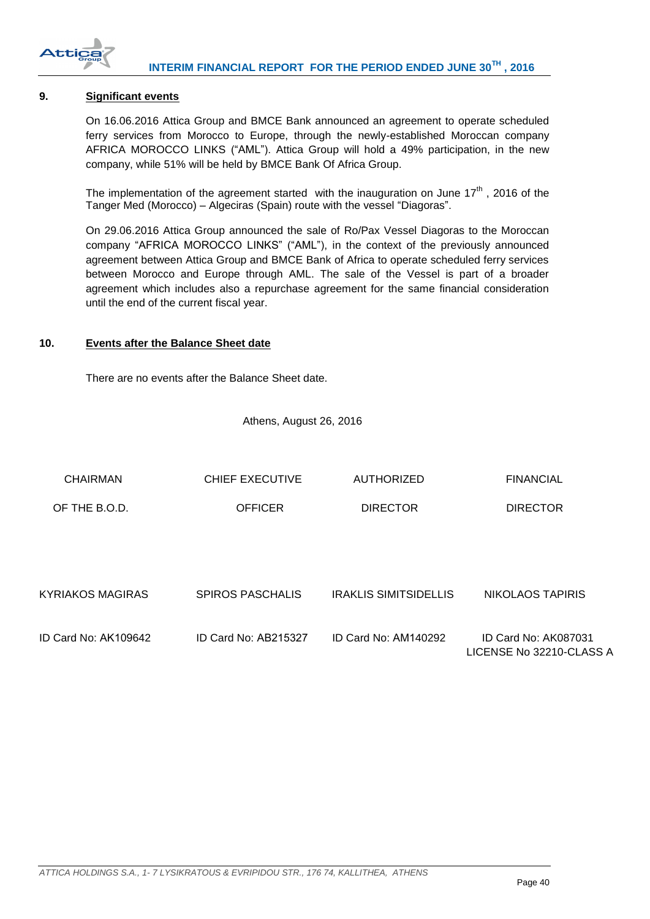

## <span id="page-40-0"></span>**9. Significant events**

On 16.06.2016 Attica Group and BMCE Bank announced an agreement to operate scheduled ferry services from Morocco to Europe, through the newly-established Moroccan company AFRICA MOROCCO LINKS ("AML"). Attica Group will hold a 49% participation, in the new company, while 51% will be held by BMCE Bank Of Africa Group.

The implementation of the agreement started with the inauguration on June  $17<sup>th</sup>$ , 2016 of the Tanger Med (Morocco) – Algeciras (Spain) route with the vessel "Diagoras".

On 29.06.2016 Attica Group announced the sale of Ro/Pax Vessel Diagoras to the Moroccan company "AFRICA MOROCCO LINKS" ("AML"), in the context of the previously announced agreement between Attica Group and BMCE Bank of Africa to operate scheduled ferry services between Morocco and Europe through AML. The sale of the Vessel is part of a broader agreement which includes also a repurchase agreement for the same financial consideration until the end of the current fiscal year.

## <span id="page-40-1"></span>**10. Events after the Balance Sheet date**

There are no events after the Balance Sheet date.

Athens, August 26, 2016

| <b>CHAIRMAN</b>         | <b>CHIEF EXECUTIVE</b>  | <b>AUTHORIZED</b>            | <b>FINANCIAL</b>                                 |
|-------------------------|-------------------------|------------------------------|--------------------------------------------------|
| OF THE B.O.D.           | <b>OFFICER</b>          | <b>DIRECTOR</b>              | <b>DIRECTOR</b>                                  |
|                         |                         |                              |                                                  |
|                         |                         |                              |                                                  |
| <b>KYRIAKOS MAGIRAS</b> | <b>SPIROS PASCHALIS</b> | <b>IRAKLIS SIMITSIDELLIS</b> | NIKOLAOS TAPIRIS                                 |
| ID Card No: AK109642    | ID Card No: AB215327    | ID Card No: AM140292         | ID Card No: AK087031<br>LICENSE No 32210-CLASS A |
|                         |                         |                              |                                                  |